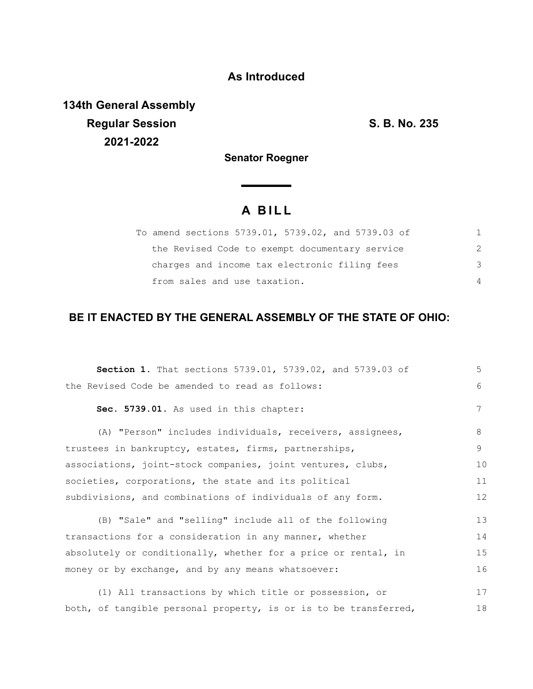### **As Introduced**

**134th General Assembly Regular Session S. B. No. 235 2021-2022**

**Senator Roegner**

<u> a shekara t</u>

# **A B I L L**

| To amend sections 5739.01, 5739.02, and 5739.03 of |                |
|----------------------------------------------------|----------------|
| the Revised Code to exempt documentary service     | $\mathcal{P}$  |
| charges and income tax electronic filing fees      | 3              |
| from sales and use taxation.                       | $\overline{4}$ |

## **BE IT ENACTED BY THE GENERAL ASSEMBLY OF THE STATE OF OHIO:**

| Section 1. That sections 5739.01, 5739.02, and 5739.03 of        | 5  |
|------------------------------------------------------------------|----|
| the Revised Code be amended to read as follows:                  | 6  |
| Sec. 5739.01. As used in this chapter:                           | 7  |
| (A) "Person" includes individuals, receivers, assignees,         | 8  |
| trustees in bankruptcy, estates, firms, partnerships,            | 9  |
| associations, joint-stock companies, joint ventures, clubs,      | 10 |
| societies, corporations, the state and its political             | 11 |
| subdivisions, and combinations of individuals of any form.       | 12 |
| (B) "Sale" and "selling" include all of the following            | 13 |
| transactions for a consideration in any manner, whether          | 14 |
| absolutely or conditionally, whether for a price or rental, in   | 15 |
| money or by exchange, and by any means whatsoever:               | 16 |
| (1) All transactions by which title or possession, or            | 17 |
| both, of tangible personal property, is or is to be transferred, | 18 |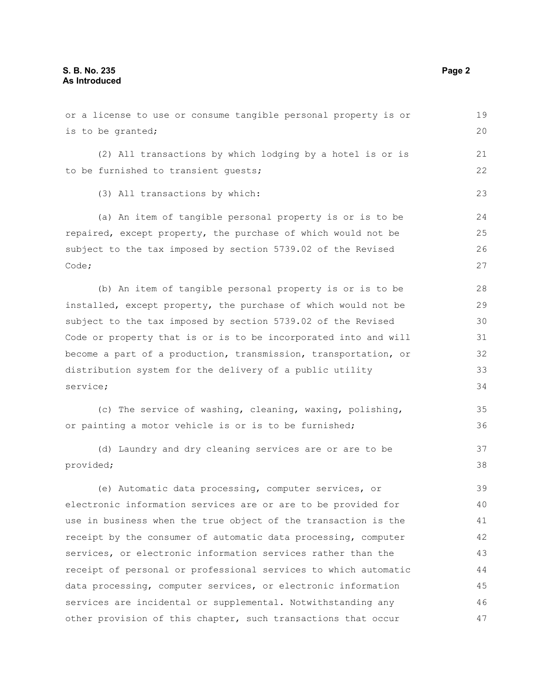| or a license to use or consume tangible personal property is or | 19 |
|-----------------------------------------------------------------|----|
| is to be granted;                                               | 20 |
| (2) All transactions by which lodging by a hotel is or is       | 21 |
| to be furnished to transient quests;                            | 22 |
| (3) All transactions by which:                                  | 23 |
| (a) An item of tangible personal property is or is to be        | 24 |
| repaired, except property, the purchase of which would not be   | 25 |
| subject to the tax imposed by section 5739.02 of the Revised    | 26 |
| Code;                                                           | 27 |
| (b) An item of tangible personal property is or is to be        | 28 |
| installed, except property, the purchase of which would not be  | 29 |
| subject to the tax imposed by section 5739.02 of the Revised    | 30 |
| Code or property that is or is to be incorporated into and will | 31 |
| become a part of a production, transmission, transportation, or | 32 |
| distribution system for the delivery of a public utility        | 33 |
| service;                                                        | 34 |
| (c) The service of washing, cleaning, waxing, polishing,        | 35 |
| or painting a motor vehicle is or is to be furnished;           | 36 |
| (d) Laundry and dry cleaning services are or are to be          | 37 |
| provided;                                                       | 38 |
| (e) Automatic data processing, computer services, or            | 39 |
| electronic information services are or are to be provided for   | 40 |
| use in business when the true object of the transaction is the  | 41 |
| receipt by the consumer of automatic data processing, computer  | 42 |
| services, or electronic information services rather than the    | 43 |
| receipt of personal or professional services to which automatic | 44 |
| data processing, computer services, or electronic information   | 45 |
| services are incidental or supplemental. Notwithstanding any    | 46 |
| other provision of this chapter, such transactions that occur   | 47 |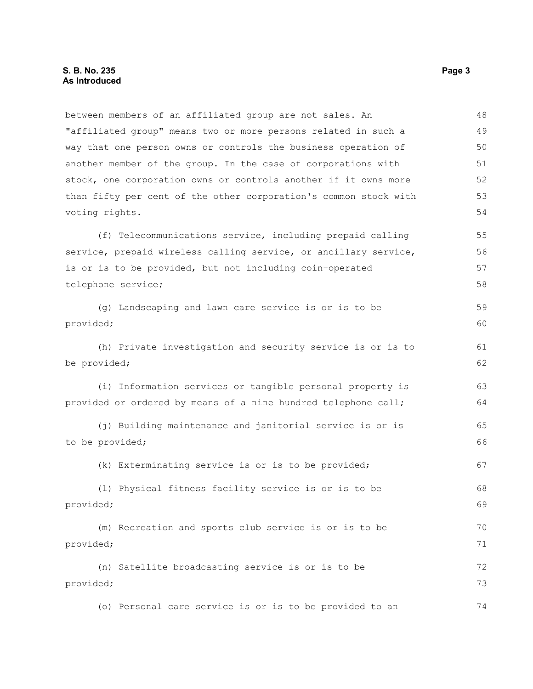between members of an affiliated group are not sales. An "affiliated group" means two or more persons related in such a way that one person owns or controls the business operation of another member of the group. In the case of corporations with stock, one corporation owns or controls another if it owns more than fifty per cent of the other corporation's common stock with voting rights. (f) Telecommunications service, including prepaid calling service, prepaid wireless calling service, or ancillary service, is or is to be provided, but not including coin-operated telephone service; (g) Landscaping and lawn care service is or is to be provided; (h) Private investigation and security service is or is to be provided; (i) Information services or tangible personal property is provided or ordered by means of a nine hundred telephone call; (j) Building maintenance and janitorial service is or is to be provided; (k) Exterminating service is or is to be provided; (l) Physical fitness facility service is or is to be provided; (m) Recreation and sports club service is or is to be provided; (n) Satellite broadcasting service is or is to be provided; (o) Personal care service is or is to be provided to an 48 49 50 51 52 53 54 55 56 57 58 59 60 61 62 63 64 65 66 67 68 69 70 71 72 73 74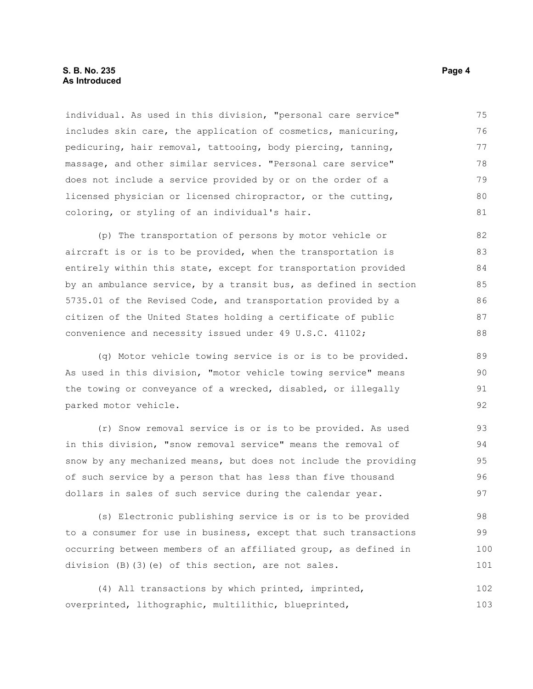#### **S. B. No. 235** Page 4 **As Introduced**

individual. As used in this division, "personal care service" includes skin care, the application of cosmetics, manicuring, pedicuring, hair removal, tattooing, body piercing, tanning, massage, and other similar services. "Personal care service" does not include a service provided by or on the order of a licensed physician or licensed chiropractor, or the cutting, coloring, or styling of an individual's hair. 75 76 77 78 79 80 81

(p) The transportation of persons by motor vehicle or aircraft is or is to be provided, when the transportation is entirely within this state, except for transportation provided by an ambulance service, by a transit bus, as defined in section 5735.01 of the Revised Code, and transportation provided by a citizen of the United States holding a certificate of public convenience and necessity issued under 49 U.S.C. 41102; 82 83 84 85 86 87 88

(q) Motor vehicle towing service is or is to be provided. As used in this division, "motor vehicle towing service" means the towing or conveyance of a wrecked, disabled, or illegally parked motor vehicle.

(r) Snow removal service is or is to be provided. As used in this division, "snow removal service" means the removal of snow by any mechanized means, but does not include the providing of such service by a person that has less than five thousand dollars in sales of such service during the calendar year. 93 94 95 96 97

(s) Electronic publishing service is or is to be provided to a consumer for use in business, except that such transactions occurring between members of an affiliated group, as defined in division (B)(3)(e) of this section, are not sales. 98 99 100 101

(4) All transactions by which printed, imprinted, overprinted, lithographic, multilithic, blueprinted, 102 103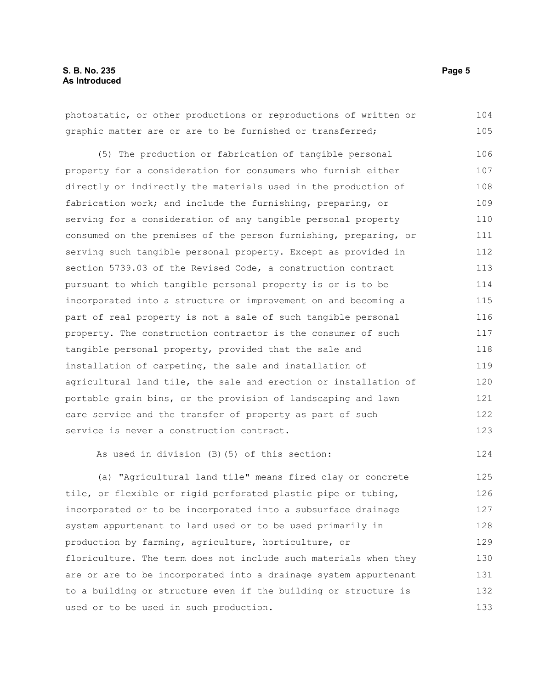photostatic, or other productions or reproductions of written or graphic matter are or are to be furnished or transferred; (5) The production or fabrication of tangible personal property for a consideration for consumers who furnish either directly or indirectly the materials used in the production of fabrication work; and include the furnishing, preparing, or serving for a consideration of any tangible personal property consumed on the premises of the person furnishing, preparing, or serving such tangible personal property. Except as provided in section 5739.03 of the Revised Code, a construction contract pursuant to which tangible personal property is or is to be incorporated into a structure or improvement on and becoming a part of real property is not a sale of such tangible personal property. The construction contractor is the consumer of such tangible personal property, provided that the sale and installation of carpeting, the sale and installation of agricultural land tile, the sale and erection or installation of portable grain bins, or the provision of landscaping and lawn care service and the transfer of property as part of such service is never a construction contract. As used in division (B)(5) of this section: (a) "Agricultural land tile" means fired clay or concrete tile, or flexible or rigid perforated plastic pipe or tubing, incorporated or to be incorporated into a subsurface drainage system appurtenant to land used or to be used primarily in 104 105 106 107 108 109 110 111 112 113 114 115 116 117 118 119 120 121 122 123 124 125 126 127 128

production by farming, agriculture, horticulture, or floriculture. The term does not include such materials when they are or are to be incorporated into a drainage system appurtenant to a building or structure even if the building or structure is used or to be used in such production. 129 130 131 132 133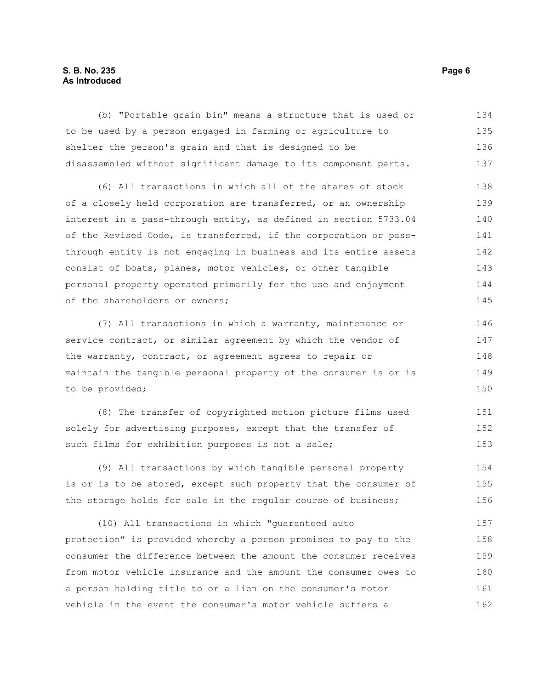#### **S. B. No. 235** Page 6 **As Introduced**

(b) "Portable grain bin" means a structure that is used or to be used by a person engaged in farming or agriculture to shelter the person's grain and that is designed to be disassembled without significant damage to its component parts. (6) All transactions in which all of the shares of stock of a closely held corporation are transferred, or an ownership interest in a pass-through entity, as defined in section 5733.04 of the Revised Code, is transferred, if the corporation or passthrough entity is not engaging in business and its entire assets consist of boats, planes, motor vehicles, or other tangible personal property operated primarily for the use and enjoyment of the shareholders or owners; (7) All transactions in which a warranty, maintenance or service contract, or similar agreement by which the vendor of the warranty, contract, or agreement agrees to repair or maintain the tangible personal property of the consumer is or is 134 135 136 137 138 139 140 141 142 143 144 145 146 147 148 149

to be provided;

(8) The transfer of copyrighted motion picture films used solely for advertising purposes, except that the transfer of such films for exhibition purposes is not a sale; 151 152 153

(9) All transactions by which tangible personal property is or is to be stored, except such property that the consumer of the storage holds for sale in the regular course of business; 154 155 156

(10) All transactions in which "guaranteed auto protection" is provided whereby a person promises to pay to the consumer the difference between the amount the consumer receives from motor vehicle insurance and the amount the consumer owes to a person holding title to or a lien on the consumer's motor vehicle in the event the consumer's motor vehicle suffers a 157 158 159 160 161 162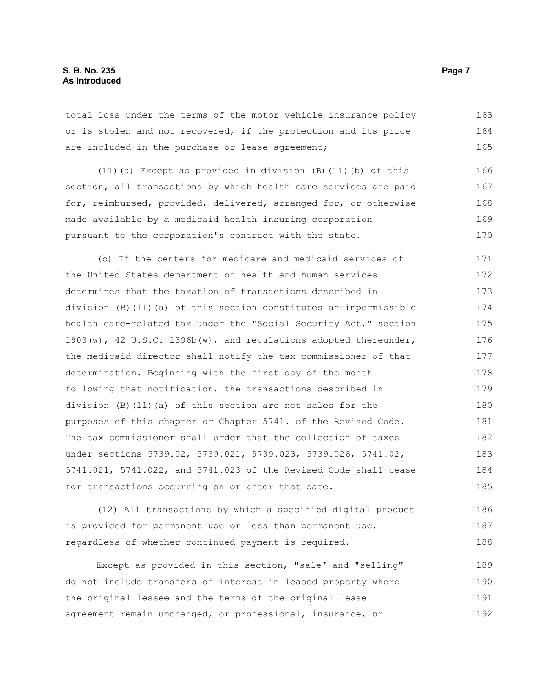total loss under the terms of the motor vehicle insurance policy or is stolen and not recovered, if the protection and its price are included in the purchase or lease agreement; 163 164 165

(11)(a) Except as provided in division (B)(11)(b) of this section, all transactions by which health care services are paid for, reimbursed, provided, delivered, arranged for, or otherwise made available by a medicaid health insuring corporation pursuant to the corporation's contract with the state. 166 167 168 169 170

(b) If the centers for medicare and medicaid services of the United States department of health and human services determines that the taxation of transactions described in division (B)(11)(a) of this section constitutes an impermissible health care-related tax under the "Social Security Act," section 1903(w), 42 U.S.C. 1396b(w), and regulations adopted thereunder, the medicaid director shall notify the tax commissioner of that determination. Beginning with the first day of the month following that notification, the transactions described in division (B)(11)(a) of this section are not sales for the purposes of this chapter or Chapter 5741. of the Revised Code. The tax commissioner shall order that the collection of taxes under sections 5739.02, 5739.021, 5739.023, 5739.026, 5741.02, 5741.021, 5741.022, and 5741.023 of the Revised Code shall cease for transactions occurring on or after that date. 171 172 173 174 175 176 177 178 179 180 181 182 183 184 185

(12) All transactions by which a specified digital product is provided for permanent use or less than permanent use, regardless of whether continued payment is required. 186 187 188

Except as provided in this section, "sale" and "selling" do not include transfers of interest in leased property where the original lessee and the terms of the original lease agreement remain unchanged, or professional, insurance, or 189 190 191 192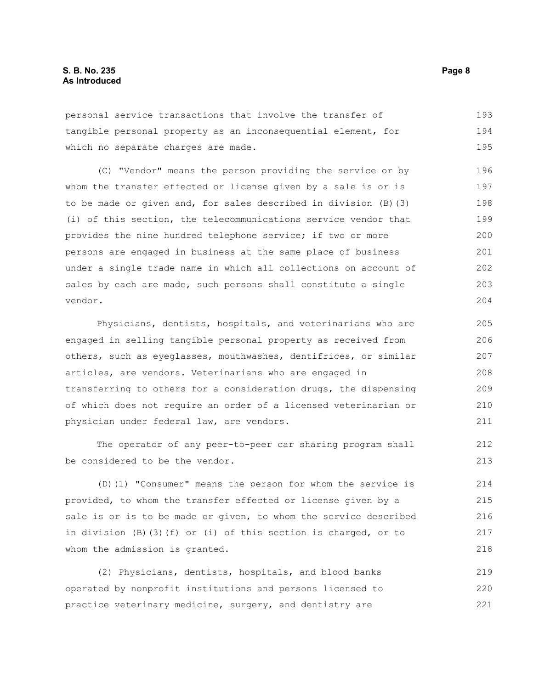personal service transactions that involve the transfer of tangible personal property as an inconsequential element, for which no separate charges are made. 193 194 195

(C) "Vendor" means the person providing the service or by whom the transfer effected or license given by a sale is or is to be made or given and, for sales described in division (B)(3) (i) of this section, the telecommunications service vendor that provides the nine hundred telephone service; if two or more persons are engaged in business at the same place of business under a single trade name in which all collections on account of sales by each are made, such persons shall constitute a single vendor. 196 197 198 199 200 201 202 203 204

Physicians, dentists, hospitals, and veterinarians who are engaged in selling tangible personal property as received from others, such as eyeglasses, mouthwashes, dentifrices, or similar articles, are vendors. Veterinarians who are engaged in transferring to others for a consideration drugs, the dispensing of which does not require an order of a licensed veterinarian or physician under federal law, are vendors. 205 206 207 208 209 210 211

The operator of any peer-to-peer car sharing program shall be considered to be the vendor.

(D)(1) "Consumer" means the person for whom the service is provided, to whom the transfer effected or license given by a sale is or is to be made or given, to whom the service described in division (B)(3)(f) or (i) of this section is charged, or to whom the admission is granted. 214 215 216 217 218

(2) Physicians, dentists, hospitals, and blood banks operated by nonprofit institutions and persons licensed to practice veterinary medicine, surgery, and dentistry are 219 220 221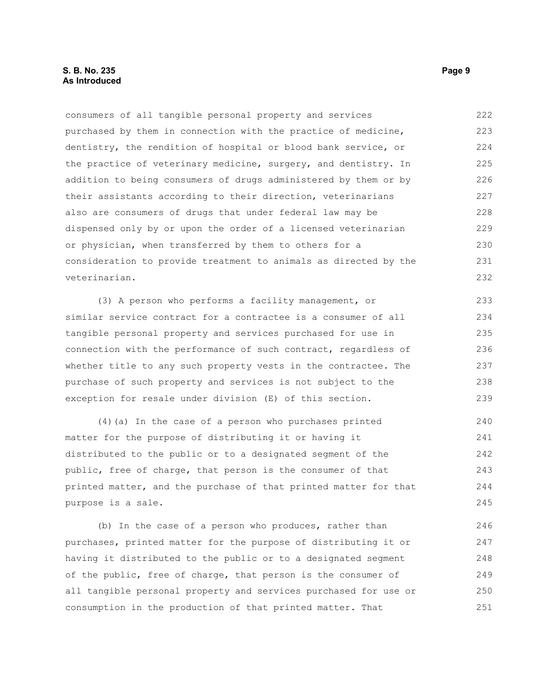#### **S. B. No. 235** Page 9 **As Introduced**

consumers of all tangible personal property and services purchased by them in connection with the practice of medicine, dentistry, the rendition of hospital or blood bank service, or the practice of veterinary medicine, surgery, and dentistry. In addition to being consumers of drugs administered by them or by their assistants according to their direction, veterinarians also are consumers of drugs that under federal law may be dispensed only by or upon the order of a licensed veterinarian or physician, when transferred by them to others for a consideration to provide treatment to animals as directed by the veterinarian. 222 223 224 225 226 227 228 229 230 231 232

(3) A person who performs a facility management, or similar service contract for a contractee is a consumer of all tangible personal property and services purchased for use in connection with the performance of such contract, regardless of whether title to any such property vests in the contractee. The purchase of such property and services is not subject to the exception for resale under division (E) of this section.

(4)(a) In the case of a person who purchases printed matter for the purpose of distributing it or having it distributed to the public or to a designated segment of the public, free of charge, that person is the consumer of that printed matter, and the purchase of that printed matter for that purpose is a sale. 240 241 242 243 244 245

(b) In the case of a person who produces, rather than purchases, printed matter for the purpose of distributing it or having it distributed to the public or to a designated segment of the public, free of charge, that person is the consumer of all tangible personal property and services purchased for use or consumption in the production of that printed matter. That 246 247 248 249 250 251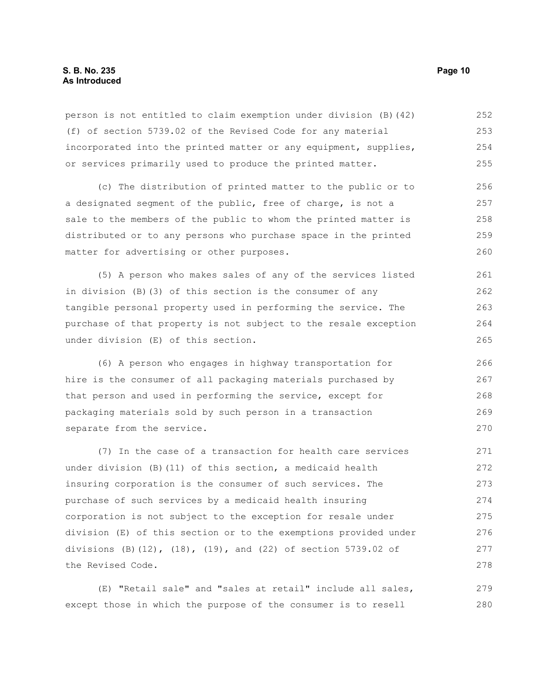#### **S. B. No. 235 Page 10 As Introduced**

person is not entitled to claim exemption under division (B)(42) (f) of section 5739.02 of the Revised Code for any material incorporated into the printed matter or any equipment, supplies, or services primarily used to produce the printed matter. 252 253 254 255

(c) The distribution of printed matter to the public or to a designated segment of the public, free of charge, is not a sale to the members of the public to whom the printed matter is distributed or to any persons who purchase space in the printed matter for advertising or other purposes. 256 257 258 259 260

(5) A person who makes sales of any of the services listed in division (B)(3) of this section is the consumer of any tangible personal property used in performing the service. The purchase of that property is not subject to the resale exception under division (E) of this section. 261 262 263 264 265

(6) A person who engages in highway transportation for hire is the consumer of all packaging materials purchased by that person and used in performing the service, except for packaging materials sold by such person in a transaction separate from the service. 266 267 268 269 270

(7) In the case of a transaction for health care services under division (B)(11) of this section, a medicaid health insuring corporation is the consumer of such services. The purchase of such services by a medicaid health insuring corporation is not subject to the exception for resale under division (E) of this section or to the exemptions provided under divisions (B)(12), (18), (19), and (22) of section 5739.02 of the Revised Code. 271 272 273 274 275 276 277 278

(E) "Retail sale" and "sales at retail" include all sales, except those in which the purpose of the consumer is to resell 279 280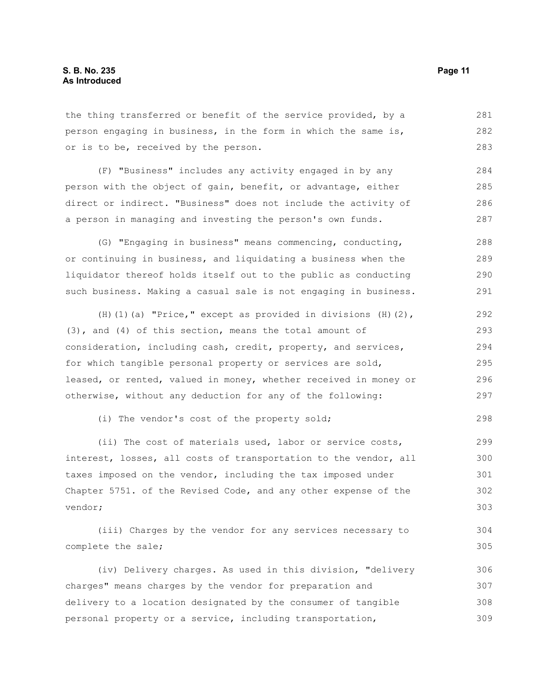the thing transferred or benefit of the service provided, by a person engaging in business, in the form in which the same is, or is to be, received by the person. 281 282 283

(F) "Business" includes any activity engaged in by any person with the object of gain, benefit, or advantage, either direct or indirect. "Business" does not include the activity of a person in managing and investing the person's own funds. 284 285 286 287

(G) "Engaging in business" means commencing, conducting, or continuing in business, and liquidating a business when the liquidator thereof holds itself out to the public as conducting such business. Making a casual sale is not engaging in business. 288 289 290 291

(H)(1)(a) "Price," except as provided in divisions  $(H)(2)$ , (3), and (4) of this section, means the total amount of consideration, including cash, credit, property, and services, for which tangible personal property or services are sold, leased, or rented, valued in money, whether received in money or otherwise, without any deduction for any of the following: 292 293 294 295 296 297

(i) The vendor's cost of the property sold;

(ii) The cost of materials used, labor or service costs, interest, losses, all costs of transportation to the vendor, all taxes imposed on the vendor, including the tax imposed under Chapter 5751. of the Revised Code, and any other expense of the vendor; 299 300 301 302 303

(iii) Charges by the vendor for any services necessary to complete the sale; 304 305

(iv) Delivery charges. As used in this division, "delivery charges" means charges by the vendor for preparation and delivery to a location designated by the consumer of tangible personal property or a service, including transportation, 306 307 308 309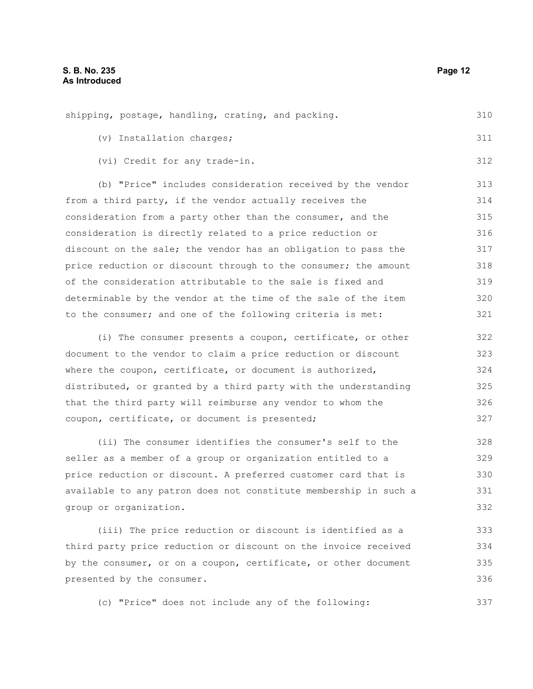|  |                           | shipping, postage, handling, crating, and packing. | 310 |
|--|---------------------------|----------------------------------------------------|-----|
|  | (v) Installation charges; |                                                    |     |

(vi) Credit for any trade-in. 312

(b) "Price" includes consideration received by the vendor from a third party, if the vendor actually receives the consideration from a party other than the consumer, and the consideration is directly related to a price reduction or discount on the sale; the vendor has an obligation to pass the price reduction or discount through to the consumer; the amount of the consideration attributable to the sale is fixed and determinable by the vendor at the time of the sale of the item to the consumer; and one of the following criteria is met: 313 314 315 316 317 318 319 320 321

(i) The consumer presents a coupon, certificate, or other document to the vendor to claim a price reduction or discount where the coupon, certificate, or document is authorized, distributed, or granted by a third party with the understanding that the third party will reimburse any vendor to whom the coupon, certificate, or document is presented; 322 323 324 325 326 327

(ii) The consumer identifies the consumer's self to the seller as a member of a group or organization entitled to a price reduction or discount. A preferred customer card that is available to any patron does not constitute membership in such a group or organization. 328 329 330 331 332

(iii) The price reduction or discount is identified as a third party price reduction or discount on the invoice received by the consumer, or on a coupon, certificate, or other document presented by the consumer. 333 334 335 336

(c) "Price" does not include any of the following: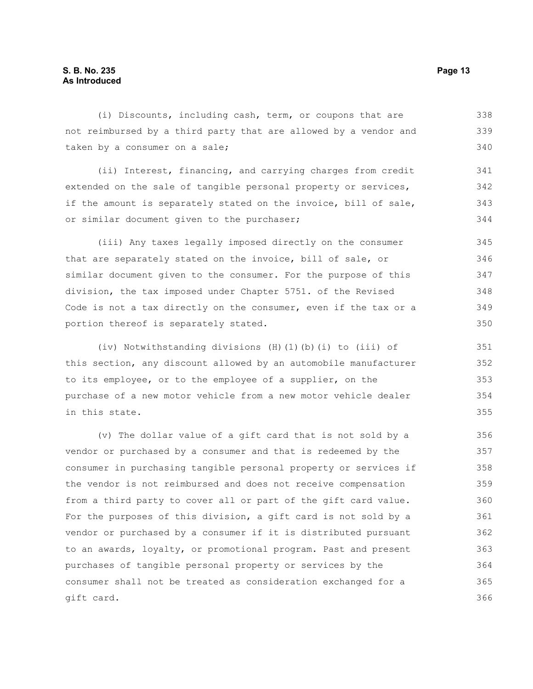#### **S. B. No. 235 Page 13 As Introduced**

(i) Discounts, including cash, term, or coupons that are not reimbursed by a third party that are allowed by a vendor and taken by a consumer on a sale; 338 339 340

(ii) Interest, financing, and carrying charges from credit extended on the sale of tangible personal property or services, if the amount is separately stated on the invoice, bill of sale, or similar document given to the purchaser; 341 342 343 344

(iii) Any taxes legally imposed directly on the consumer that are separately stated on the invoice, bill of sale, or similar document given to the consumer. For the purpose of this division, the tax imposed under Chapter 5751. of the Revised Code is not a tax directly on the consumer, even if the tax or a portion thereof is separately stated. 345 346 347 348 349 350

(iv) Notwithstanding divisions (H)(1)(b)(i) to (iii) of this section, any discount allowed by an automobile manufacturer to its employee, or to the employee of a supplier, on the purchase of a new motor vehicle from a new motor vehicle dealer in this state.

(v) The dollar value of a gift card that is not sold by a vendor or purchased by a consumer and that is redeemed by the consumer in purchasing tangible personal property or services if the vendor is not reimbursed and does not receive compensation from a third party to cover all or part of the gift card value. For the purposes of this division, a gift card is not sold by a vendor or purchased by a consumer if it is distributed pursuant to an awards, loyalty, or promotional program. Past and present purchases of tangible personal property or services by the consumer shall not be treated as consideration exchanged for a gift card. 356 357 358 359 360 361 362 363 364 365 366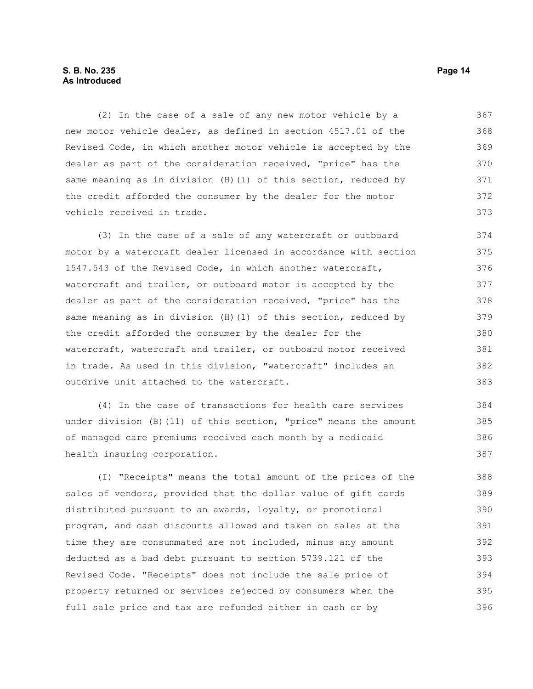#### **S. B. No. 235 Page 14 As Introduced**

(2) In the case of a sale of any new motor vehicle by a new motor vehicle dealer, as defined in section 4517.01 of the Revised Code, in which another motor vehicle is accepted by the dealer as part of the consideration received, "price" has the same meaning as in division (H)(1) of this section, reduced by the credit afforded the consumer by the dealer for the motor vehicle received in trade. 367 368 369 370 371 372 373

(3) In the case of a sale of any watercraft or outboard motor by a watercraft dealer licensed in accordance with section 1547.543 of the Revised Code, in which another watercraft, watercraft and trailer, or outboard motor is accepted by the dealer as part of the consideration received, "price" has the same meaning as in division (H)(1) of this section, reduced by the credit afforded the consumer by the dealer for the watercraft, watercraft and trailer, or outboard motor received in trade. As used in this division, "watercraft" includes an outdrive unit attached to the watercraft. 374 375 376 377 378 379 380 381 382 383

(4) In the case of transactions for health care services under division (B)(11) of this section, "price" means the amount of managed care premiums received each month by a medicaid health insuring corporation. 384 385 386 387

(I) "Receipts" means the total amount of the prices of the sales of vendors, provided that the dollar value of gift cards distributed pursuant to an awards, loyalty, or promotional program, and cash discounts allowed and taken on sales at the time they are consummated are not included, minus any amount deducted as a bad debt pursuant to section 5739.121 of the Revised Code. "Receipts" does not include the sale price of property returned or services rejected by consumers when the full sale price and tax are refunded either in cash or by 388 389 390 391 392 393 394 395 396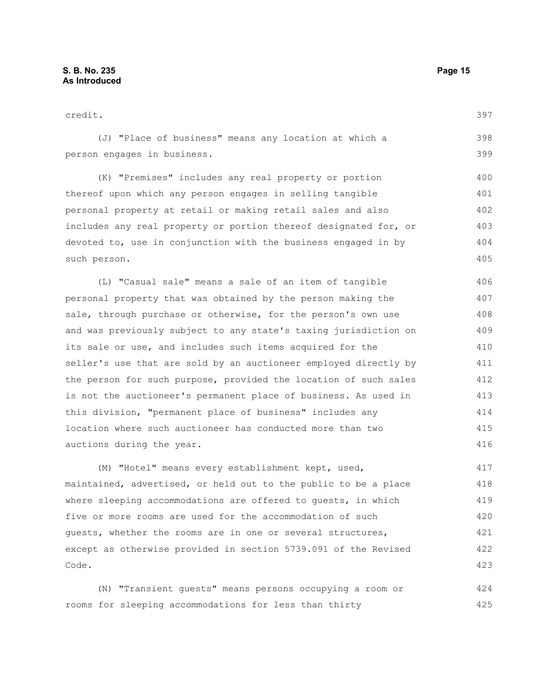Code.

423

| credit.                                                          | 397 |
|------------------------------------------------------------------|-----|
| (J) "Place of business" means any location at which a            | 398 |
| person engages in business.                                      | 399 |
| (K) "Premises" includes any real property or portion             | 400 |
| thereof upon which any person engages in selling tangible        | 401 |
| personal property at retail or making retail sales and also      | 402 |
| includes any real property or portion thereof designated for, or | 403 |
| devoted to, use in conjunction with the business engaged in by   | 404 |
| such person.                                                     | 405 |
| (L) "Casual sale" means a sale of an item of tangible            | 406 |
| personal property that was obtained by the person making the     | 407 |
| sale, through purchase or otherwise, for the person's own use    | 408 |
| and was previously subject to any state's taxing jurisdiction on | 409 |
| its sale or use, and includes such items acquired for the        | 410 |
| seller's use that are sold by an auctioneer employed directly by | 411 |
| the person for such purpose, provided the location of such sales | 412 |
| is not the auctioneer's permanent place of business. As used in  | 413 |
| this division, "permanent place of business" includes any        | 414 |
| location where such auctioneer has conducted more than two       | 415 |
| auctions during the year.                                        | 416 |
| (M) "Hotel" means every establishment kept, used,                | 417 |
| maintained, advertised, or held out to the public to be a place  | 418 |
| where sleeping accommodations are offered to quests, in which    | 419 |
| five or more rooms are used for the accommodation of such        | 420 |
| quests, whether the rooms are in one or several structures,      | 421 |
| except as otherwise provided in section 5739.091 of the Revised  | 422 |

(N) "Transient guests" means persons occupying a room or rooms for sleeping accommodations for less than thirty 424 425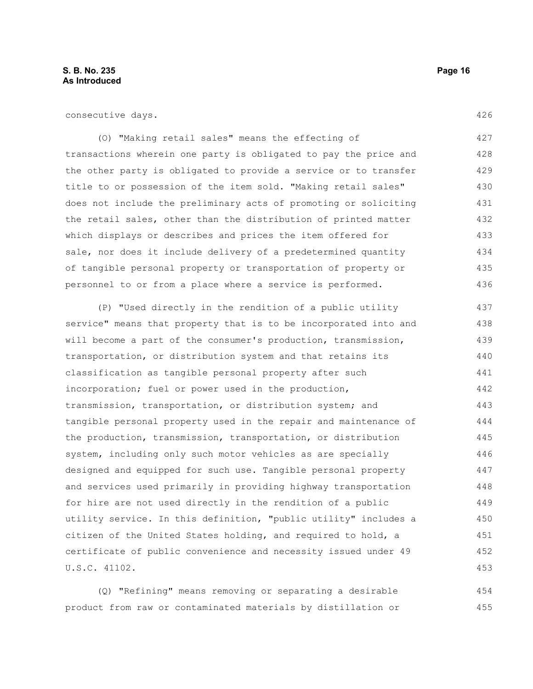consecutive days.

(O) "Making retail sales" means the effecting of transactions wherein one party is obligated to pay the price and the other party is obligated to provide a service or to transfer title to or possession of the item sold. "Making retail sales" does not include the preliminary acts of promoting or soliciting the retail sales, other than the distribution of printed matter which displays or describes and prices the item offered for sale, nor does it include delivery of a predetermined quantity of tangible personal property or transportation of property or personnel to or from a place where a service is performed. 427 428 429 430 431 432 433 434 435 436

(P) "Used directly in the rendition of a public utility service" means that property that is to be incorporated into and will become a part of the consumer's production, transmission, transportation, or distribution system and that retains its classification as tangible personal property after such incorporation; fuel or power used in the production, transmission, transportation, or distribution system; and tangible personal property used in the repair and maintenance of the production, transmission, transportation, or distribution system, including only such motor vehicles as are specially designed and equipped for such use. Tangible personal property and services used primarily in providing highway transportation for hire are not used directly in the rendition of a public utility service. In this definition, "public utility" includes a citizen of the United States holding, and required to hold, a certificate of public convenience and necessity issued under 49 U.S.C. 41102. 437 438 439 440 441 442 443 444 445 446 447 448 449 450 451 452 453

(Q) "Refining" means removing or separating a desirable product from raw or contaminated materials by distillation or 454 455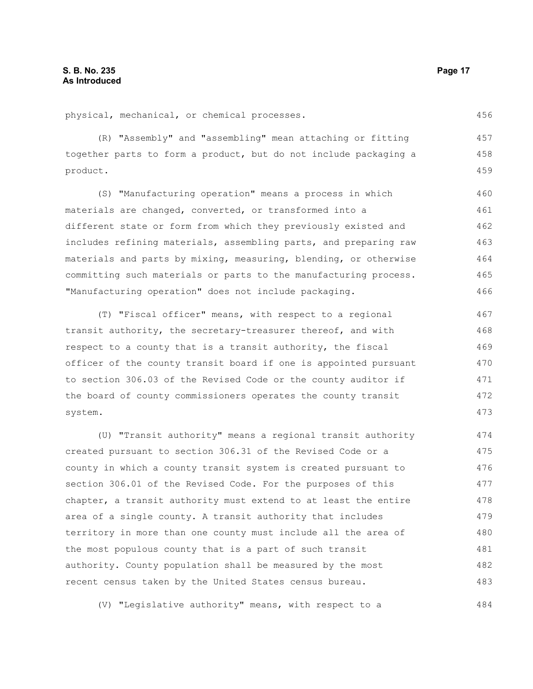physical, mechanical, or chemical processes.

(R) "Assembly" and "assembling" mean attaching or fitting together parts to form a product, but do not include packaging a product. 457 458 459

(S) "Manufacturing operation" means a process in which materials are changed, converted, or transformed into a different state or form from which they previously existed and includes refining materials, assembling parts, and preparing raw materials and parts by mixing, measuring, blending, or otherwise committing such materials or parts to the manufacturing process. "Manufacturing operation" does not include packaging. 460 461 462 463 464 465 466

(T) "Fiscal officer" means, with respect to a regional transit authority, the secretary-treasurer thereof, and with respect to a county that is a transit authority, the fiscal officer of the county transit board if one is appointed pursuant to section 306.03 of the Revised Code or the county auditor if the board of county commissioners operates the county transit system.

(U) "Transit authority" means a regional transit authority created pursuant to section 306.31 of the Revised Code or a county in which a county transit system is created pursuant to section 306.01 of the Revised Code. For the purposes of this chapter, a transit authority must extend to at least the entire area of a single county. A transit authority that includes territory in more than one county must include all the area of the most populous county that is a part of such transit authority. County population shall be measured by the most recent census taken by the United States census bureau. 474 475 476 477 478 479 480 481 482 483

(V) "Legislative authority" means, with respect to a

456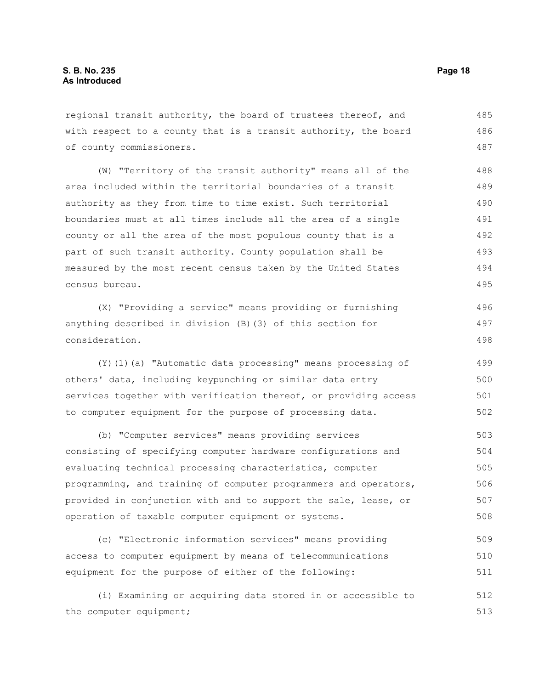regional transit authority, the board of trustees thereof, and with respect to a county that is a transit authority, the board of county commissioners. 485 486 487

(W) "Territory of the transit authority" means all of the area included within the territorial boundaries of a transit authority as they from time to time exist. Such territorial boundaries must at all times include all the area of a single county or all the area of the most populous county that is a part of such transit authority. County population shall be measured by the most recent census taken by the United States census bureau. 488 489 490 491 492 493 494 495

(X) "Providing a service" means providing or furnishing anything described in division (B)(3) of this section for consideration. 496 497 498

(Y)(1)(a) "Automatic data processing" means processing of others' data, including keypunching or similar data entry services together with verification thereof, or providing access to computer equipment for the purpose of processing data. 499 500 501 502

(b) "Computer services" means providing services consisting of specifying computer hardware configurations and evaluating technical processing characteristics, computer programming, and training of computer programmers and operators, provided in conjunction with and to support the sale, lease, or operation of taxable computer equipment or systems. 503 504 505 506 507 508

(c) "Electronic information services" means providing access to computer equipment by means of telecommunications equipment for the purpose of either of the following: 509 510 511

(i) Examining or acquiring data stored in or accessible to the computer equipment; 512 513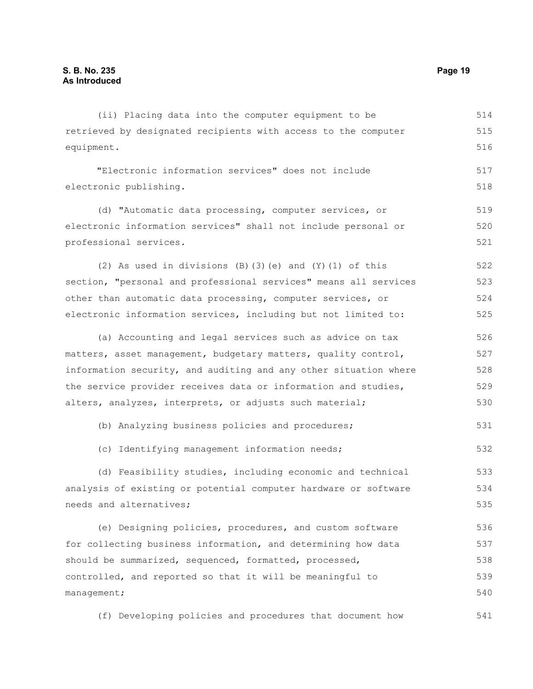(ii) Placing data into the computer equipment to be retrieved by designated recipients with access to the computer equipment. "Electronic information services" does not include electronic publishing. (d) "Automatic data processing, computer services, or electronic information services" shall not include personal or professional services. (2) As used in divisions (B)(3)(e) and (Y)(1) of this section, "personal and professional services" means all services other than automatic data processing, computer services, or electronic information services, including but not limited to: (a) Accounting and legal services such as advice on tax matters, asset management, budgetary matters, quality control, information security, and auditing and any other situation where the service provider receives data or information and studies, alters, analyzes, interprets, or adjusts such material; (b) Analyzing business policies and procedures; (c) Identifying management information needs; (d) Feasibility studies, including economic and technical analysis of existing or potential computer hardware or software needs and alternatives; (e) Designing policies, procedures, and custom software 514 515 516 517 518 519 520 521 522 523 524 525 526 527 528 529 530 531 532 533 534 535 536

for collecting business information, and determining how data should be summarized, sequenced, formatted, processed, controlled, and reported so that it will be meaningful to management; 537 538 539 540

(f) Developing policies and procedures that document how 541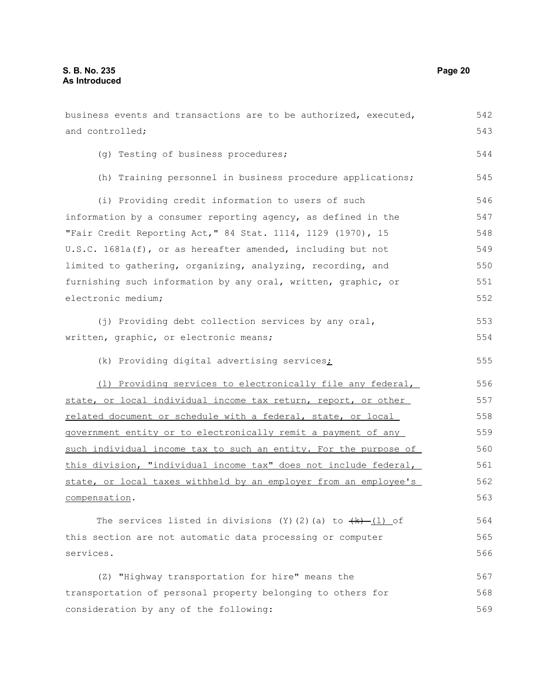business events and transactions are to be authorized, executed, and controlled; (g) Testing of business procedures; (h) Training personnel in business procedure applications; (i) Providing credit information to users of such information by a consumer reporting agency, as defined in the "Fair Credit Reporting Act," 84 Stat. 1114, 1129 (1970), 15 U.S.C. 1681a(f), or as hereafter amended, including but not limited to gathering, organizing, analyzing, recording, and furnishing such information by any oral, written, graphic, or electronic medium; (j) Providing debt collection services by any oral, written, graphic, or electronic means; (k) Providing digital advertising services; (l) Providing services to electronically file any federal, state, or local individual income tax return, report, or other related document or schedule with a federal, state, or local government entity or to electronically remit a payment of any such individual income tax to such an entity. For the purpose of this division, "individual income tax" does not include federal, state, or local taxes withheld by an employer from an employee's compensation. The services listed in divisions (Y)(2)(a) to  $\{k\}$  (l) of this section are not automatic data processing or computer services. (Z) "Highway transportation for hire" means the transportation of personal property belonging to others for consideration by any of the following: 542 543 544 545 546 547 548 549 550 551 552 553 554 555 556 557 558 559 560 561 562 563 564 565 566 567 568 569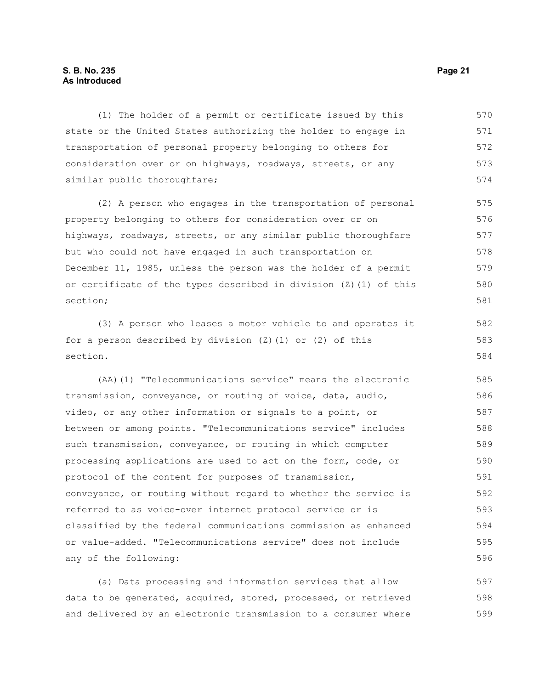#### **S. B. No. 235 Page 21 As Introduced**

(1) The holder of a permit or certificate issued by this state or the United States authorizing the holder to engage in transportation of personal property belonging to others for consideration over or on highways, roadways, streets, or any similar public thoroughfare; 570 571 572 573 574

(2) A person who engages in the transportation of personal property belonging to others for consideration over or on highways, roadways, streets, or any similar public thoroughfare but who could not have engaged in such transportation on December 11, 1985, unless the person was the holder of a permit or certificate of the types described in division (Z)(1) of this section; 575 576 577 578 579 580 581

(3) A person who leases a motor vehicle to and operates it for a person described by division  $(Z)$  (1) or  $(2)$  of this section.

(AA)(1) "Telecommunications service" means the electronic transmission, conveyance, or routing of voice, data, audio, video, or any other information or signals to a point, or between or among points. "Telecommunications service" includes such transmission, conveyance, or routing in which computer processing applications are used to act on the form, code, or protocol of the content for purposes of transmission, conveyance, or routing without regard to whether the service is referred to as voice-over internet protocol service or is classified by the federal communications commission as enhanced or value-added. "Telecommunications service" does not include any of the following: 585 586 587 588 589 590 591 592 593 594 595 596

(a) Data processing and information services that allow data to be generated, acquired, stored, processed, or retrieved and delivered by an electronic transmission to a consumer where 597 598 599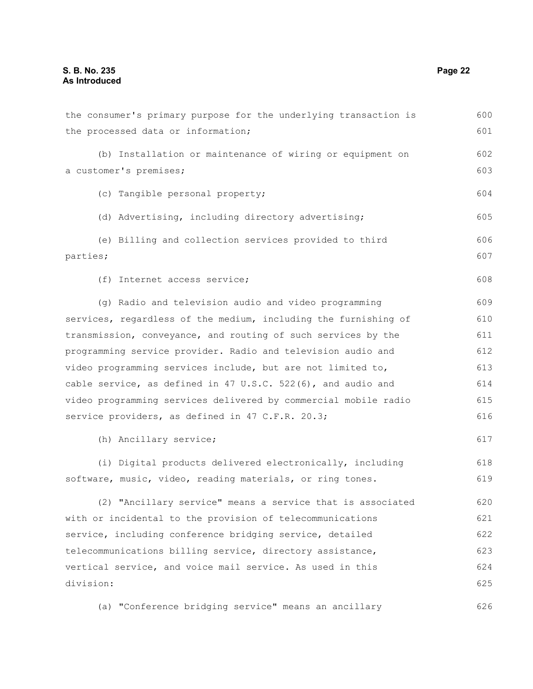| the consumer's primary purpose for the underlying transaction is | 600 |
|------------------------------------------------------------------|-----|
| the processed data or information;                               | 601 |
| (b) Installation or maintenance of wiring or equipment on        | 602 |
| a customer's premises;                                           | 603 |
| (c) Tangible personal property;                                  | 604 |
| (d) Advertising, including directory advertising;                | 605 |
| (e) Billing and collection services provided to third            | 606 |
| parties;                                                         | 607 |
|                                                                  |     |
| (f) Internet access service;                                     | 608 |
| (q) Radio and television audio and video programming             | 609 |
| services, regardless of the medium, including the furnishing of  | 610 |
| transmission, conveyance, and routing of such services by the    | 611 |
| programming service provider. Radio and television audio and     | 612 |
| video programming services include, but are not limited to,      | 613 |
| cable service, as defined in 47 U.S.C. 522(6), and audio and     | 614 |
| video programming services delivered by commercial mobile radio  | 615 |
| service providers, as defined in 47 C.F.R. 20.3;                 | 616 |
| (h) Ancillary service;                                           | 617 |
| (i) Digital products delivered electronically, including         | 618 |
| software, music, video, reading materials, or ring tones.        | 619 |
| (2) "Ancillary service" means a service that is associated       | 620 |
| with or incidental to the provision of telecommunications        | 621 |
| service, including conference bridging service, detailed         | 622 |
| telecommunications billing service, directory assistance,        | 623 |
| vertical service, and voice mail service. As used in this        | 624 |
| division:                                                        | 625 |
| (a) "Conference bridging service" means an ancillary             | 626 |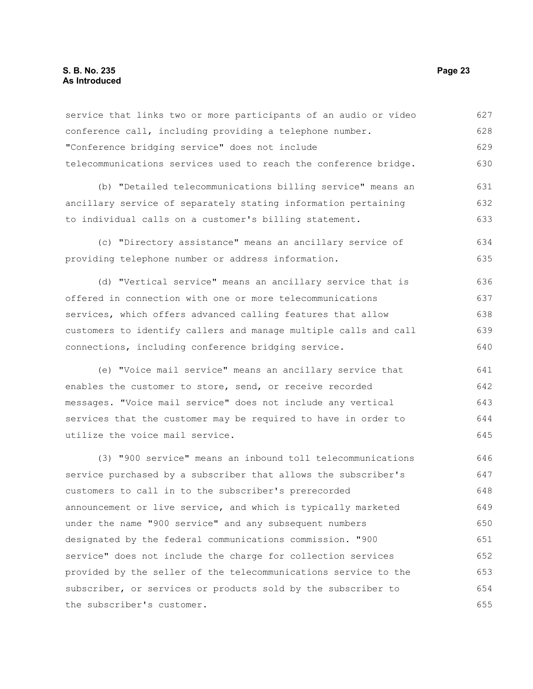### **S. B. No. 235 Page 23 As Introduced**

| service that links two or more participants of an audio or video | 627 |
|------------------------------------------------------------------|-----|
| conference call, including providing a telephone number.         | 628 |
| "Conference bridging service" does not include                   | 629 |
| telecommunications services used to reach the conference bridge. | 630 |
| (b) "Detailed telecommunications billing service" means an       | 631 |
| ancillary service of separately stating information pertaining   | 632 |
| to individual calls on a customer's billing statement.           | 633 |
| (c) "Directory assistance" means an ancillary service of         | 634 |
| providing telephone number or address information.               | 635 |
| (d) "Vertical service" means an ancillary service that is        | 636 |
| offered in connection with one or more telecommunications        | 637 |
| services, which offers advanced calling features that allow      | 638 |
| customers to identify callers and manage multiple calls and call | 639 |
| connections, including conference bridging service.              | 640 |
| (e) "Voice mail service" means an ancillary service that         | 641 |
| enables the customer to store, send, or receive recorded         | 642 |
| messages. "Voice mail service" does not include any vertical     | 643 |
| services that the customer may be required to have in order to   | 644 |
| utilize the voice mail service.                                  | 645 |
| (3) "900 service" means an inbound toll telecommunications       | 646 |
| service purchased by a subscriber that allows the subscriber's   | 647 |
| customers to call in to the subscriber's prerecorded             | 648 |
| announcement or live service, and which is typically marketed    | 649 |
| under the name "900 service" and any subsequent numbers          | 650 |
| designated by the federal communications commission. "900        | 651 |
| service" does not include the charge for collection services     | 652 |
| provided by the seller of the telecommunications service to the  | 653 |
| subscriber, or services or products sold by the subscriber to    | 654 |
| the subscriber's customer.                                       | 655 |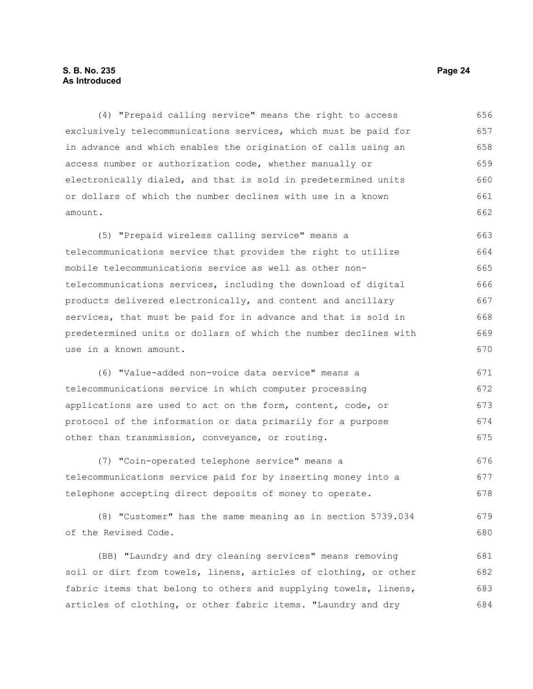#### **S. B. No. 235 Page 24 As Introduced**

(4) "Prepaid calling service" means the right to access exclusively telecommunications services, which must be paid for in advance and which enables the origination of calls using an access number or authorization code, whether manually or electronically dialed, and that is sold in predetermined units or dollars of which the number declines with use in a known amount. 656 657 658 659 660 661 662

(5) "Prepaid wireless calling service" means a telecommunications service that provides the right to utilize mobile telecommunications service as well as other nontelecommunications services, including the download of digital products delivered electronically, and content and ancillary services, that must be paid for in advance and that is sold in predetermined units or dollars of which the number declines with use in a known amount. 663 664 665 666 667 668 669 670

(6) "Value-added non-voice data service" means a telecommunications service in which computer processing applications are used to act on the form, content, code, or protocol of the information or data primarily for a purpose other than transmission, conveyance, or routing. 671 672 673 674 675

(7) "Coin-operated telephone service" means a telecommunications service paid for by inserting money into a telephone accepting direct deposits of money to operate. 676 677 678

(8) "Customer" has the same meaning as in section 5739.034 of the Revised Code. 679 680

(BB) "Laundry and dry cleaning services" means removing soil or dirt from towels, linens, articles of clothing, or other fabric items that belong to others and supplying towels, linens, articles of clothing, or other fabric items. "Laundry and dry 681 682 683 684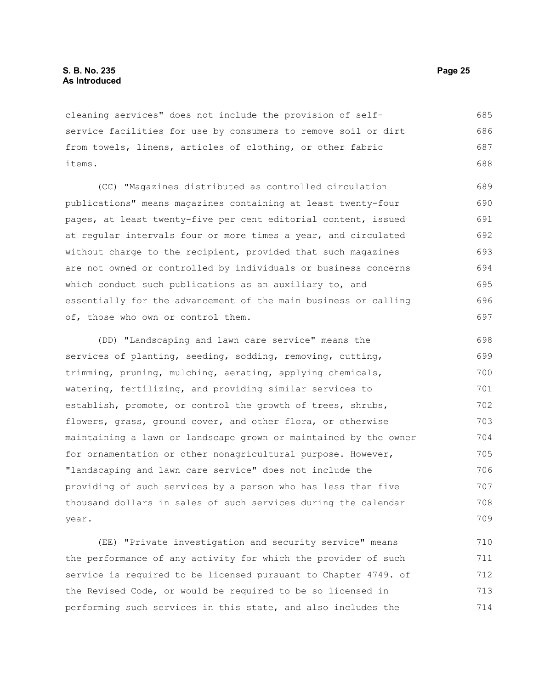cleaning services" does not include the provision of selfservice facilities for use by consumers to remove soil or dirt from towels, linens, articles of clothing, or other fabric items. 685 686 687 688

(CC) "Magazines distributed as controlled circulation publications" means magazines containing at least twenty-four pages, at least twenty-five per cent editorial content, issued at regular intervals four or more times a year, and circulated without charge to the recipient, provided that such magazines are not owned or controlled by individuals or business concerns which conduct such publications as an auxiliary to, and essentially for the advancement of the main business or calling of, those who own or control them. 689 690 691 692 693 694 695 696 697

(DD) "Landscaping and lawn care service" means the services of planting, seeding, sodding, removing, cutting, trimming, pruning, mulching, aerating, applying chemicals, watering, fertilizing, and providing similar services to establish, promote, or control the growth of trees, shrubs, flowers, grass, ground cover, and other flora, or otherwise maintaining a lawn or landscape grown or maintained by the owner for ornamentation or other nonagricultural purpose. However, "landscaping and lawn care service" does not include the providing of such services by a person who has less than five thousand dollars in sales of such services during the calendar year. 698 699 700 701 702 703 704 705 706 707 708 709

(EE) "Private investigation and security service" means the performance of any activity for which the provider of such service is required to be licensed pursuant to Chapter 4749. of the Revised Code, or would be required to be so licensed in performing such services in this state, and also includes the 710 711 712 713 714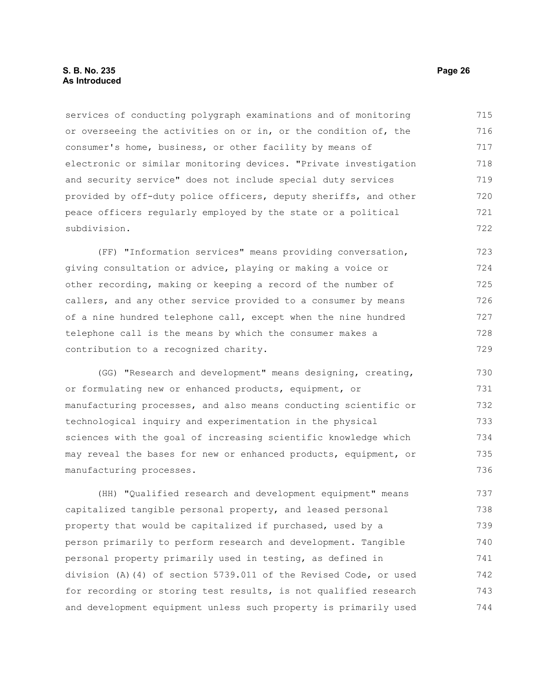#### **S. B. No. 235 Page 26 As Introduced**

services of conducting polygraph examinations and of monitoring or overseeing the activities on or in, or the condition of, the consumer's home, business, or other facility by means of electronic or similar monitoring devices. "Private investigation and security service" does not include special duty services provided by off-duty police officers, deputy sheriffs, and other peace officers regularly employed by the state or a political subdivision. 715 716 717 718 719 720 721 722

(FF) "Information services" means providing conversation, giving consultation or advice, playing or making a voice or other recording, making or keeping a record of the number of callers, and any other service provided to a consumer by means of a nine hundred telephone call, except when the nine hundred telephone call is the means by which the consumer makes a contribution to a recognized charity. 723 724 725 726 727 728 729

(GG) "Research and development" means designing, creating, or formulating new or enhanced products, equipment, or manufacturing processes, and also means conducting scientific or technological inquiry and experimentation in the physical sciences with the goal of increasing scientific knowledge which may reveal the bases for new or enhanced products, equipment, or manufacturing processes. 730 731 732 733 734 735 736

(HH) "Qualified research and development equipment" means capitalized tangible personal property, and leased personal property that would be capitalized if purchased, used by a person primarily to perform research and development. Tangible personal property primarily used in testing, as defined in division (A)(4) of section 5739.011 of the Revised Code, or used for recording or storing test results, is not qualified research and development equipment unless such property is primarily used 737 738 739 740 741 742 743 744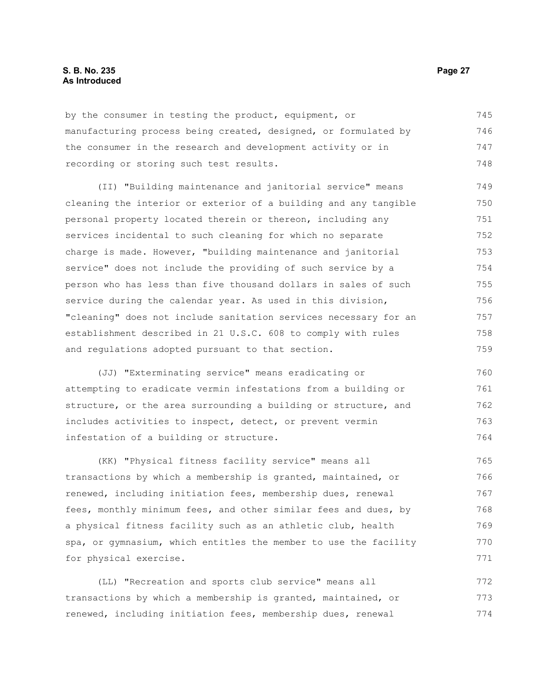#### **S. B. No. 235 Page 27 As Introduced**

by the consumer in testing the product, equipment, or manufacturing process being created, designed, or formulated by the consumer in the research and development activity or in recording or storing such test results. 745 746 747 748

(II) "Building maintenance and janitorial service" means cleaning the interior or exterior of a building and any tangible personal property located therein or thereon, including any services incidental to such cleaning for which no separate charge is made. However, "building maintenance and janitorial service" does not include the providing of such service by a person who has less than five thousand dollars in sales of such service during the calendar year. As used in this division, "cleaning" does not include sanitation services necessary for an establishment described in 21 U.S.C. 608 to comply with rules and regulations adopted pursuant to that section. 749 750 751 752 753 754 755 756 757 758 759

(JJ) "Exterminating service" means eradicating or attempting to eradicate vermin infestations from a building or structure, or the area surrounding a building or structure, and includes activities to inspect, detect, or prevent vermin infestation of a building or structure. 760 761 762 763 764

(KK) "Physical fitness facility service" means all transactions by which a membership is granted, maintained, or renewed, including initiation fees, membership dues, renewal fees, monthly minimum fees, and other similar fees and dues, by a physical fitness facility such as an athletic club, health spa, or gymnasium, which entitles the member to use the facility for physical exercise. 765 766 767 768 769 770 771

(LL) "Recreation and sports club service" means all transactions by which a membership is granted, maintained, or renewed, including initiation fees, membership dues, renewal 772 773 774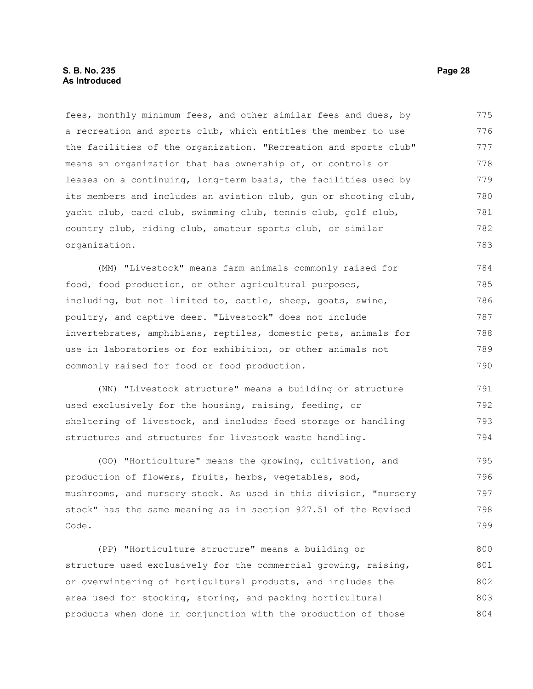fees, monthly minimum fees, and other similar fees and dues, by a recreation and sports club, which entitles the member to use the facilities of the organization. "Recreation and sports club" means an organization that has ownership of, or controls or leases on a continuing, long-term basis, the facilities used by its members and includes an aviation club, gun or shooting club, yacht club, card club, swimming club, tennis club, golf club, country club, riding club, amateur sports club, or similar organization. 775 776 777 778 779 780 781 782 783

(MM) "Livestock" means farm animals commonly raised for food, food production, or other agricultural purposes, including, but not limited to, cattle, sheep, goats, swine, poultry, and captive deer. "Livestock" does not include invertebrates, amphibians, reptiles, domestic pets, animals for use in laboratories or for exhibition, or other animals not commonly raised for food or food production. 784 785 786 787 788 789 790

(NN) "Livestock structure" means a building or structure used exclusively for the housing, raising, feeding, or sheltering of livestock, and includes feed storage or handling structures and structures for livestock waste handling. 791 792 793 794

(OO) "Horticulture" means the growing, cultivation, and production of flowers, fruits, herbs, vegetables, sod, mushrooms, and nursery stock. As used in this division, "nursery stock" has the same meaning as in section 927.51 of the Revised Code. 795 796 797 798 799

(PP) "Horticulture structure" means a building or structure used exclusively for the commercial growing, raising, or overwintering of horticultural products, and includes the area used for stocking, storing, and packing horticultural products when done in conjunction with the production of those 800 801 802 803 804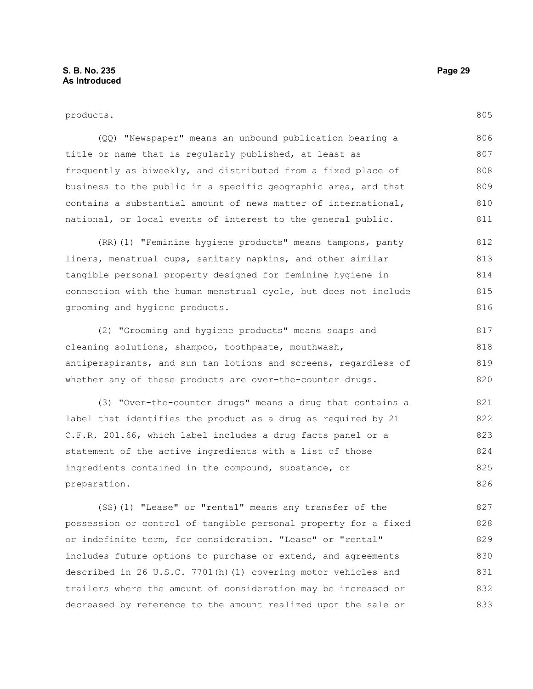805

(QQ) "Newspaper" means an unbound publication bearing a title or name that is regularly published, at least as frequently as biweekly, and distributed from a fixed place of business to the public in a specific geographic area, and that contains a substantial amount of news matter of international, national, or local events of interest to the general public. 806 807 808 809 810 811

(RR)(1) "Feminine hygiene products" means tampons, panty liners, menstrual cups, sanitary napkins, and other similar tangible personal property designed for feminine hygiene in connection with the human menstrual cycle, but does not include grooming and hygiene products. 812 813 814 815 816

(2) "Grooming and hygiene products" means soaps and cleaning solutions, shampoo, toothpaste, mouthwash, antiperspirants, and sun tan lotions and screens, regardless of whether any of these products are over-the-counter drugs. 817 818 819 820

(3) "Over-the-counter drugs" means a drug that contains a label that identifies the product as a drug as required by 21 C.F.R. 201.66, which label includes a drug facts panel or a statement of the active ingredients with a list of those ingredients contained in the compound, substance, or preparation. 821 822 823 824 825 826

(SS)(1) "Lease" or "rental" means any transfer of the possession or control of tangible personal property for a fixed or indefinite term, for consideration. "Lease" or "rental" includes future options to purchase or extend, and agreements described in 26 U.S.C. 7701(h)(1) covering motor vehicles and trailers where the amount of consideration may be increased or decreased by reference to the amount realized upon the sale or 827 828 829 830 831 832 833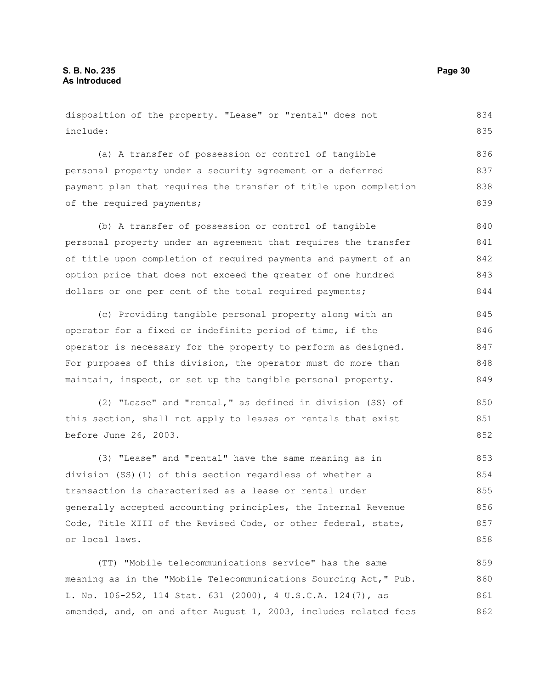disposition of the property. "Lease" or "rental" does not include: (a) A transfer of possession or control of tangible personal property under a security agreement or a deferred payment plan that requires the transfer of title upon completion of the required payments; (b) A transfer of possession or control of tangible personal property under an agreement that requires the transfer of title upon completion of required payments and payment of an option price that does not exceed the greater of one hundred dollars or one per cent of the total required payments; (c) Providing tangible personal property along with an operator for a fixed or indefinite period of time, if the operator is necessary for the property to perform as designed. For purposes of this division, the operator must do more than maintain, inspect, or set up the tangible personal property. (2) "Lease" and "rental," as defined in division (SS) of this section, shall not apply to leases or rentals that exist before June 26, 2003. (3) "Lease" and "rental" have the same meaning as in division (SS)(1) of this section regardless of whether a transaction is characterized as a lease or rental under generally accepted accounting principles, the Internal Revenue Code, Title XIII of the Revised Code, or other federal, state, or local laws. (TT) "Mobile telecommunications service" has the same meaning as in the "Mobile Telecommunications Sourcing Act," Pub. L. No. 106-252, 114 Stat. 631 (2000), 4 U.S.C.A. 124(7), as 834 835 836 837 838 839 840 841 842 843 844 845 846 847 848 849 850 851 852 853 854 855 856 857 858 859 860 861

amended, and, on and after August 1, 2003, includes related fees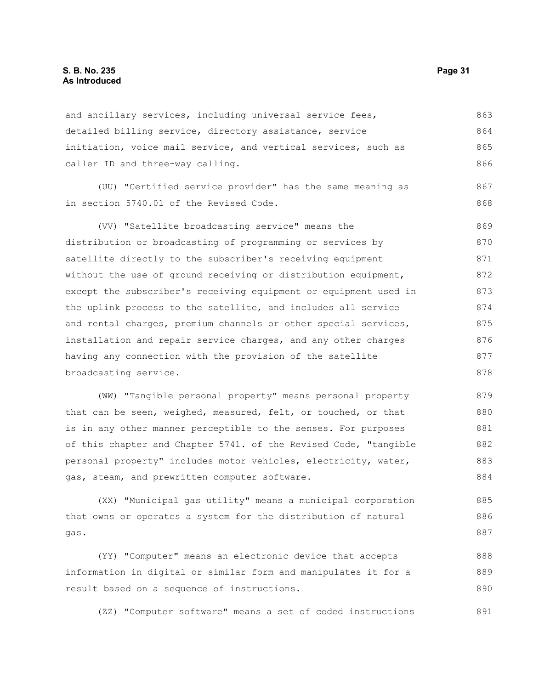#### **S. B. No. 235 Page 31 As Introduced**

and ancillary services, including universal service fees, detailed billing service, directory assistance, service initiation, voice mail service, and vertical services, such as caller ID and three-way calling. 863 864 865 866

(UU) "Certified service provider" has the same meaning as in section 5740.01 of the Revised Code.

(VV) "Satellite broadcasting service" means the distribution or broadcasting of programming or services by satellite directly to the subscriber's receiving equipment without the use of ground receiving or distribution equipment, except the subscriber's receiving equipment or equipment used in the uplink process to the satellite, and includes all service and rental charges, premium channels or other special services, installation and repair service charges, and any other charges having any connection with the provision of the satellite broadcasting service. 869 870 871 872 873 874 875 876 877 878

(WW) "Tangible personal property" means personal property that can be seen, weighed, measured, felt, or touched, or that is in any other manner perceptible to the senses. For purposes of this chapter and Chapter 5741. of the Revised Code, "tangible personal property" includes motor vehicles, electricity, water, gas, steam, and prewritten computer software. 879 880 881 882 883 884

(XX) "Municipal gas utility" means a municipal corporation that owns or operates a system for the distribution of natural gas. 885 886 887

(YY) "Computer" means an electronic device that accepts information in digital or similar form and manipulates it for a result based on a sequence of instructions. 888 889 890

(ZZ) "Computer software" means a set of coded instructions 891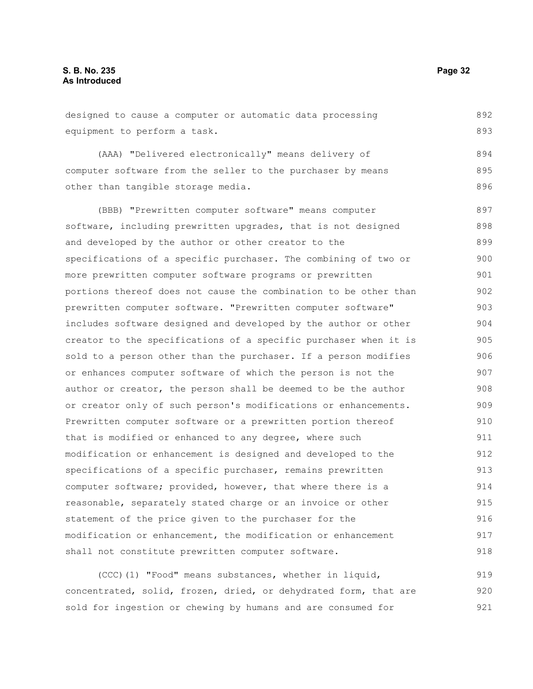designed to cause a computer or automatic data processing equipment to perform a task. 892 893

(AAA) "Delivered electronically" means delivery of computer software from the seller to the purchaser by means other than tangible storage media. 894 895 896

(BBB) "Prewritten computer software" means computer software, including prewritten upgrades, that is not designed and developed by the author or other creator to the specifications of a specific purchaser. The combining of two or more prewritten computer software programs or prewritten portions thereof does not cause the combination to be other than prewritten computer software. "Prewritten computer software" includes software designed and developed by the author or other creator to the specifications of a specific purchaser when it is sold to a person other than the purchaser. If a person modifies or enhances computer software of which the person is not the author or creator, the person shall be deemed to be the author or creator only of such person's modifications or enhancements. Prewritten computer software or a prewritten portion thereof that is modified or enhanced to any degree, where such modification or enhancement is designed and developed to the specifications of a specific purchaser, remains prewritten computer software; provided, however, that where there is a reasonable, separately stated charge or an invoice or other statement of the price given to the purchaser for the modification or enhancement, the modification or enhancement shall not constitute prewritten computer software. 897 898 899 900 901 902 903 904 905 906 907 908 909 910 911 912 913 914 915 916 917 918

(CCC)(1) "Food" means substances, whether in liquid, concentrated, solid, frozen, dried, or dehydrated form, that are sold for ingestion or chewing by humans and are consumed for 919 920 921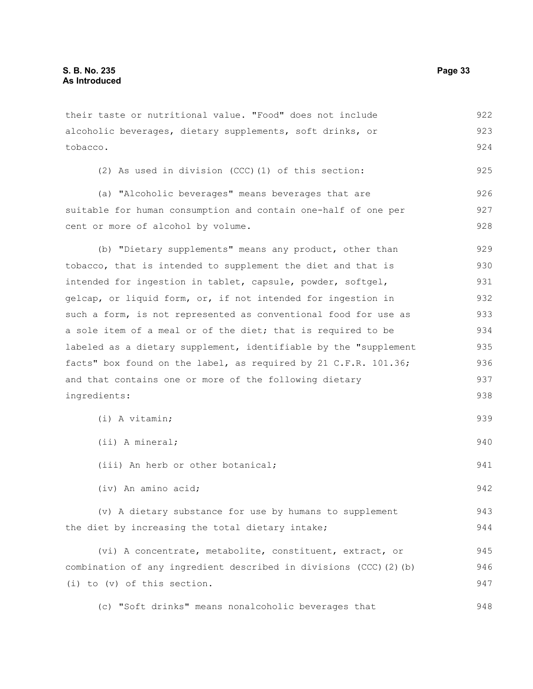alcoholic beverages, dietary supplements, soft drinks, or tobacco. (2) As used in division (CCC)(1) of this section: (a) "Alcoholic beverages" means beverages that are suitable for human consumption and contain one-half of one per cent or more of alcohol by volume. (b) "Dietary supplements" means any product, other than tobacco, that is intended to supplement the diet and that is intended for ingestion in tablet, capsule, powder, softgel, gelcap, or liquid form, or, if not intended for ingestion in such a form, is not represented as conventional food for use as a sole item of a meal or of the diet; that is required to be labeled as a dietary supplement, identifiable by the "supplement facts" box found on the label, as required by 21 C.F.R. 101.36; and that contains one or more of the following dietary ingredients: (i) A vitamin; (ii) A mineral; (iii) An herb or other botanical; (iv) An amino acid; (v) A dietary substance for use by humans to supplement the diet by increasing the total dietary intake; (vi) A concentrate, metabolite, constituent, extract, or combination of any ingredient described in divisions (CCC)(2)(b) (i) to (v) of this section. 923 924 925 926 927 928 929 930 931 932 933 934 935 936 937 938 939 940 941 942 943 944 945 946 947

their taste or nutritional value. "Food" does not include

(c) "Soft drinks" means nonalcoholic beverages that 948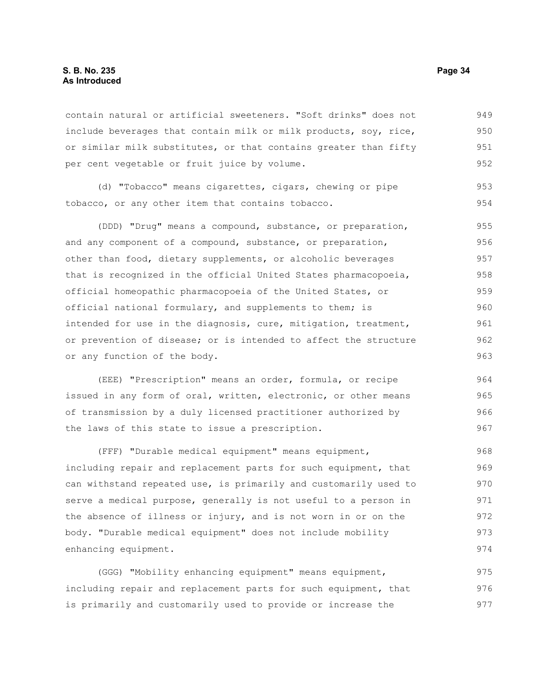#### **S. B. No. 235 Page 34 As Introduced**

contain natural or artificial sweeteners. "Soft drinks" does not include beverages that contain milk or milk products, soy, rice, or similar milk substitutes, or that contains greater than fifty per cent vegetable or fruit juice by volume. 949 950 951 952

(d) "Tobacco" means cigarettes, cigars, chewing or pipe tobacco, or any other item that contains tobacco. 953 954

(DDD) "Drug" means a compound, substance, or preparation, and any component of a compound, substance, or preparation, other than food, dietary supplements, or alcoholic beverages that is recognized in the official United States pharmacopoeia, official homeopathic pharmacopoeia of the United States, or official national formulary, and supplements to them; is intended for use in the diagnosis, cure, mitigation, treatment, or prevention of disease; or is intended to affect the structure or any function of the body. 955 956 957 958 959 960 961 962 963

(EEE) "Prescription" means an order, formula, or recipe issued in any form of oral, written, electronic, or other means of transmission by a duly licensed practitioner authorized by the laws of this state to issue a prescription.

(FFF) "Durable medical equipment" means equipment, including repair and replacement parts for such equipment, that can withstand repeated use, is primarily and customarily used to serve a medical purpose, generally is not useful to a person in the absence of illness or injury, and is not worn in or on the body. "Durable medical equipment" does not include mobility enhancing equipment. 968 969 970 971 972 973 974

(GGG) "Mobility enhancing equipment" means equipment, including repair and replacement parts for such equipment, that is primarily and customarily used to provide or increase the 975 976 977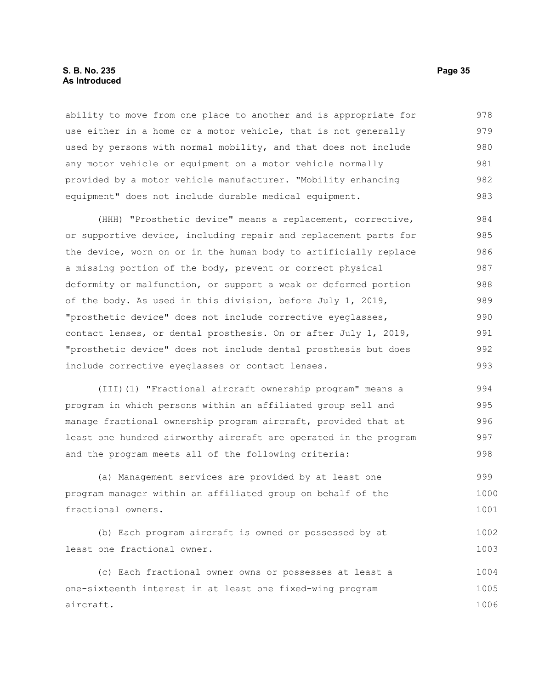#### **S. B. No. 235 Page 35 As Introduced**

ability to move from one place to another and is appropriate for use either in a home or a motor vehicle, that is not generally used by persons with normal mobility, and that does not include any motor vehicle or equipment on a motor vehicle normally provided by a motor vehicle manufacturer. "Mobility enhancing equipment" does not include durable medical equipment. 978 979 980 981 982 983

(HHH) "Prosthetic device" means a replacement, corrective, or supportive device, including repair and replacement parts for the device, worn on or in the human body to artificially replace a missing portion of the body, prevent or correct physical deformity or malfunction, or support a weak or deformed portion of the body. As used in this division, before July 1, 2019, "prosthetic device" does not include corrective eyeglasses, contact lenses, or dental prosthesis. On or after July 1, 2019, "prosthetic device" does not include dental prosthesis but does include corrective eyeglasses or contact lenses. 984 985 986 987 988 989 990 991 992 993

(III)(1) "Fractional aircraft ownership program" means a program in which persons within an affiliated group sell and manage fractional ownership program aircraft, provided that at least one hundred airworthy aircraft are operated in the program and the program meets all of the following criteria: 994 995 996 997 998

(a) Management services are provided by at least one program manager within an affiliated group on behalf of the fractional owners. 999 1000 1001

```
(b) Each program aircraft is owned or possessed by at
least one fractional owner. 
                                                                             1002
                                                                             1003
```
(c) Each fractional owner owns or possesses at least a one-sixteenth interest in at least one fixed-wing program aircraft. 1004 1005 1006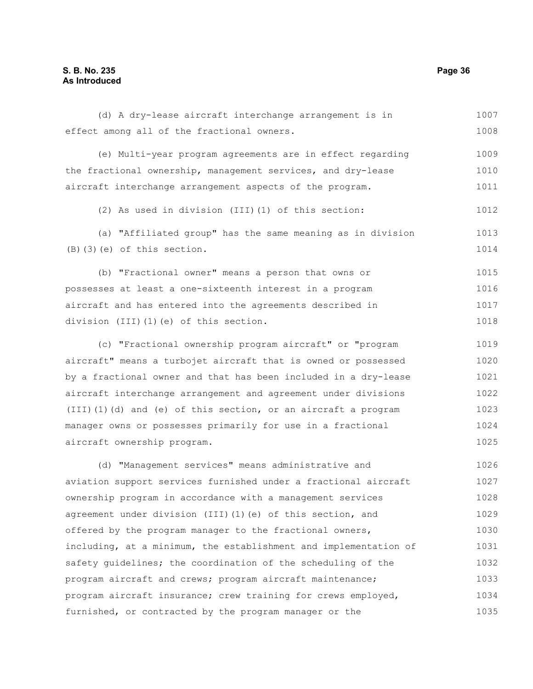(d) A dry-lease aircraft interchange arrangement is in effect among all of the fractional owners. (e) Multi-year program agreements are in effect regarding the fractional ownership, management services, and dry-lease 1007 1008 1009 1010

(2) As used in division (III)(1) of this section: 1012

(a) "Affiliated group" has the same meaning as in division (B)(3)(e) of this section. 1013 1014

aircraft interchange arrangement aspects of the program.

(b) "Fractional owner" means a person that owns or possesses at least a one-sixteenth interest in a program aircraft and has entered into the agreements described in division (III)(1)(e) of this section. 1015 1016 1017 1018

(c) "Fractional ownership program aircraft" or "program aircraft" means a turbojet aircraft that is owned or possessed by a fractional owner and that has been included in a dry-lease aircraft interchange arrangement and agreement under divisions (III)(1)(d) and (e) of this section, or an aircraft a program manager owns or possesses primarily for use in a fractional aircraft ownership program. 1019 1020 1021 1022 1023 1024 1025

(d) "Management services" means administrative and aviation support services furnished under a fractional aircraft ownership program in accordance with a management services agreement under division (III)(1)(e) of this section, and offered by the program manager to the fractional owners, including, at a minimum, the establishment and implementation of safety guidelines; the coordination of the scheduling of the program aircraft and crews; program aircraft maintenance; program aircraft insurance; crew training for crews employed, furnished, or contracted by the program manager or the 1026 1027 1028 1029 1030 1031 1032 1033 1034 1035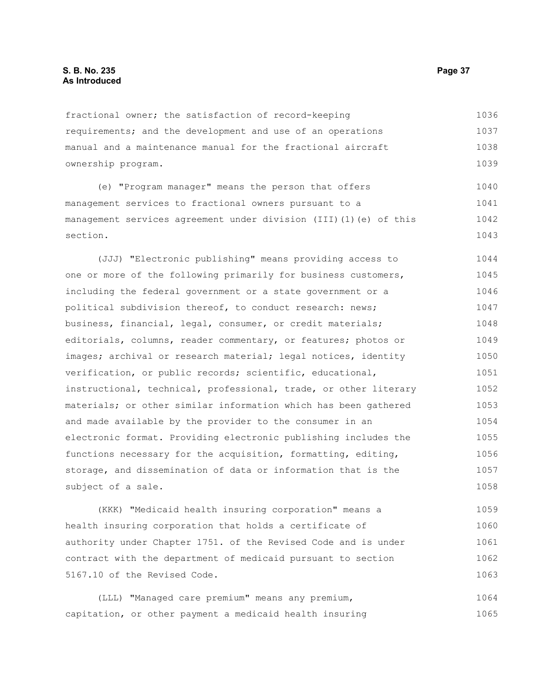# **S. B. No. 235 Page 37 As Introduced**

fractional owner; the satisfaction of record-keeping requirements; and the development and use of an operations manual and a maintenance manual for the fractional aircraft ownership program. 1036 1037 1038 1039

(e) "Program manager" means the person that offers management services to fractional owners pursuant to a management services agreement under division (III)(1)(e) of this section. 1040 1041 1042 1043

(JJJ) "Electronic publishing" means providing access to one or more of the following primarily for business customers, including the federal government or a state government or a political subdivision thereof, to conduct research: news; business, financial, legal, consumer, or credit materials; editorials, columns, reader commentary, or features; photos or images; archival or research material; legal notices, identity verification, or public records; scientific, educational, instructional, technical, professional, trade, or other literary materials; or other similar information which has been gathered and made available by the provider to the consumer in an electronic format. Providing electronic publishing includes the functions necessary for the acquisition, formatting, editing, storage, and dissemination of data or information that is the subject of a sale. 1044 1045 1046 1047 1048 1049 1050 1051 1052 1053 1054 1055 1056 1057 1058

(KKK) "Medicaid health insuring corporation" means a health insuring corporation that holds a certificate of authority under Chapter 1751. of the Revised Code and is under contract with the department of medicaid pursuant to section 5167.10 of the Revised Code. 1059 1060 1061 1062 1063

(LLL) "Managed care premium" means any premium, capitation, or other payment a medicaid health insuring 1064 1065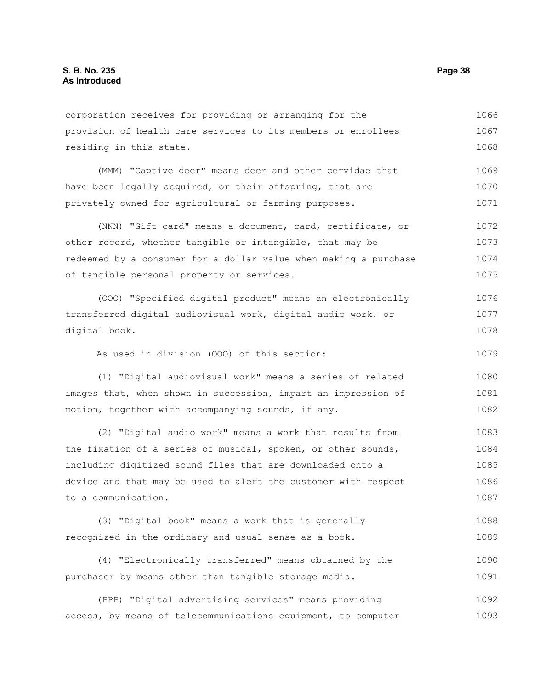corporation receives for providing or arranging for the provision of health care services to its members or enrollees residing in this state. 1066 1067 1068

(MMM) "Captive deer" means deer and other cervidae that have been legally acquired, or their offspring, that are privately owned for agricultural or farming purposes. 1069 1070 1071

(NNN) "Gift card" means a document, card, certificate, or other record, whether tangible or intangible, that may be redeemed by a consumer for a dollar value when making a purchase of tangible personal property or services. 1072 1073 1074 1075

(OOO) "Specified digital product" means an electronically transferred digital audiovisual work, digital audio work, or digital book. 1076 1077 1078

As used in division (OOO) of this section:

(1) "Digital audiovisual work" means a series of related images that, when shown in succession, impart an impression of motion, together with accompanying sounds, if any. 1080 1081 1082

(2) "Digital audio work" means a work that results from the fixation of a series of musical, spoken, or other sounds, including digitized sound files that are downloaded onto a device and that may be used to alert the customer with respect to a communication. 1083 1084 1085 1086 1087

(3) "Digital book" means a work that is generally recognized in the ordinary and usual sense as a book. 1088 1089

(4) "Electronically transferred" means obtained by the purchaser by means other than tangible storage media. 1090 1091

(PPP) "Digital advertising services" means providing access, by means of telecommunications equipment, to computer 1092 1093

1079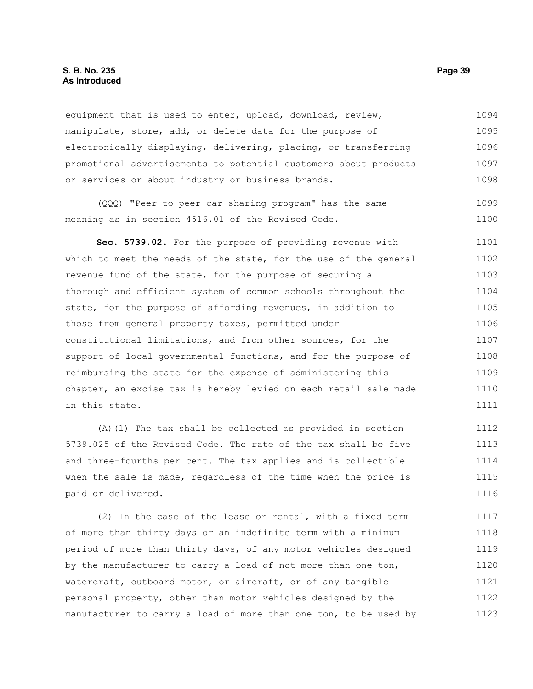### **S. B. No. 235 Page 39 As Introduced**

equipment that is used to enter, upload, download, review, manipulate, store, add, or delete data for the purpose of electronically displaying, delivering, placing, or transferring promotional advertisements to potential customers about products or services or about industry or business brands. 1094 1095 1096 1097 1098

(QQQ) "Peer-to-peer car sharing program" has the same meaning as in section 4516.01 of the Revised Code. 1099 1100

**Sec. 5739.02.** For the purpose of providing revenue with which to meet the needs of the state, for the use of the general revenue fund of the state, for the purpose of securing a thorough and efficient system of common schools throughout the state, for the purpose of affording revenues, in addition to those from general property taxes, permitted under constitutional limitations, and from other sources, for the support of local governmental functions, and for the purpose of reimbursing the state for the expense of administering this chapter, an excise tax is hereby levied on each retail sale made in this state. 1101 1102 1103 1104 1105 1106 1107 1108 1109 1110 1111

(A)(1) The tax shall be collected as provided in section 5739.025 of the Revised Code. The rate of the tax shall be five and three-fourths per cent. The tax applies and is collectible when the sale is made, regardless of the time when the price is paid or delivered. 1112 1113 1114 1115 1116

(2) In the case of the lease or rental, with a fixed term of more than thirty days or an indefinite term with a minimum period of more than thirty days, of any motor vehicles designed by the manufacturer to carry a load of not more than one ton, watercraft, outboard motor, or aircraft, or of any tangible personal property, other than motor vehicles designed by the manufacturer to carry a load of more than one ton, to be used by 1117 1118 1119 1120 1121 1122 1123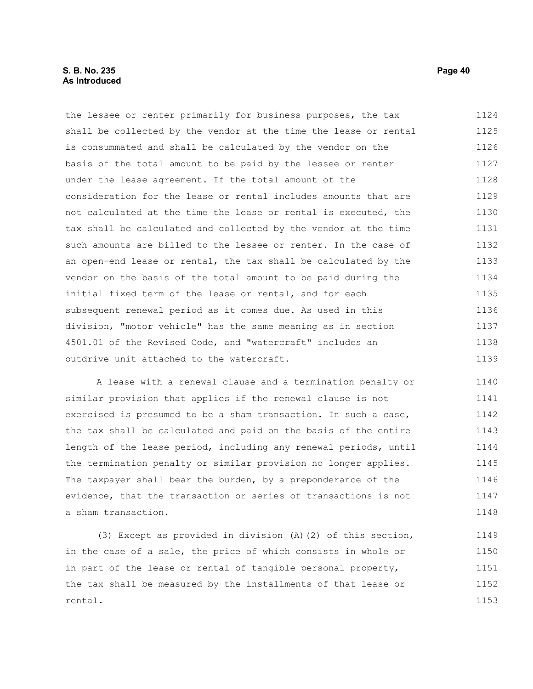# **S. B. No. 235 Page 40 As Introduced**

the lessee or renter primarily for business purposes, the tax shall be collected by the vendor at the time the lease or rental is consummated and shall be calculated by the vendor on the basis of the total amount to be paid by the lessee or renter under the lease agreement. If the total amount of the consideration for the lease or rental includes amounts that are not calculated at the time the lease or rental is executed, the tax shall be calculated and collected by the vendor at the time such amounts are billed to the lessee or renter. In the case of an open-end lease or rental, the tax shall be calculated by the vendor on the basis of the total amount to be paid during the initial fixed term of the lease or rental, and for each subsequent renewal period as it comes due. As used in this division, "motor vehicle" has the same meaning as in section 4501.01 of the Revised Code, and "watercraft" includes an outdrive unit attached to the watercraft. 1124 1125 1126 1127 1128 1129 1130 1131 1132 1133 1134 1135 1136 1137 1138 1139

A lease with a renewal clause and a termination penalty or similar provision that applies if the renewal clause is not exercised is presumed to be a sham transaction. In such a case, the tax shall be calculated and paid on the basis of the entire length of the lease period, including any renewal periods, until the termination penalty or similar provision no longer applies. The taxpayer shall bear the burden, by a preponderance of the evidence, that the transaction or series of transactions is not a sham transaction. 1140 1141 1142 1143 1144 1145 1146 1147 1148

(3) Except as provided in division (A)(2) of this section, in the case of a sale, the price of which consists in whole or in part of the lease or rental of tangible personal property, the tax shall be measured by the installments of that lease or rental. 1149 1150 1151 1152 1153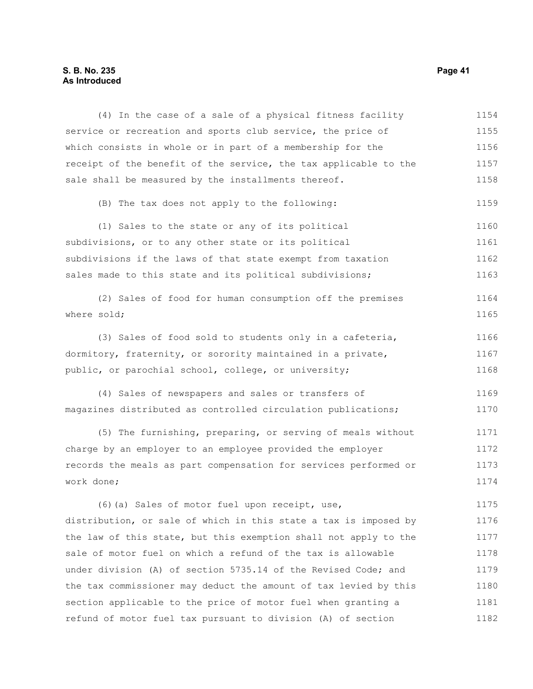# **S. B. No. 235** Page 41 **As Introduced**

| (4) In the case of a sale of a physical fitness facility         | 1154 |
|------------------------------------------------------------------|------|
| service or recreation and sports club service, the price of      | 1155 |
| which consists in whole or in part of a membership for the       | 1156 |
| receipt of the benefit of the service, the tax applicable to the | 1157 |
| sale shall be measured by the installments thereof.              | 1158 |
| (B) The tax does not apply to the following:                     | 1159 |
| (1) Sales to the state or any of its political                   | 1160 |
| subdivisions, or to any other state or its political             | 1161 |
| subdivisions if the laws of that state exempt from taxation      | 1162 |
| sales made to this state and its political subdivisions;         | 1163 |
| (2) Sales of food for human consumption off the premises         | 1164 |
| where sold;                                                      | 1165 |
| (3) Sales of food sold to students only in a cafeteria,          | 1166 |
| dormitory, fraternity, or sorority maintained in a private,      | 1167 |
| public, or parochial school, college, or university;             | 1168 |
| (4) Sales of newspapers and sales or transfers of                | 1169 |
| magazines distributed as controlled circulation publications;    | 1170 |
| (5) The furnishing, preparing, or serving of meals without       | 1171 |
| charge by an employer to an employee provided the employer       | 1172 |
| records the meals as part compensation for services performed or | 1173 |
| work done;                                                       | 1174 |
| (6) (a) Sales of motor fuel upon receipt, use,                   | 1175 |
| distribution, or sale of which in this state a tax is imposed by | 1176 |
| the law of this state, but this exemption shall not apply to the | 1177 |
| sale of motor fuel on which a refund of the tax is allowable     | 1178 |
| under division (A) of section 5735.14 of the Revised Code; and   | 1179 |
| the tax commissioner may deduct the amount of tax levied by this | 1180 |
| section applicable to the price of motor fuel when granting a    | 1181 |
| refund of motor fuel tax pursuant to division (A) of section     | 1182 |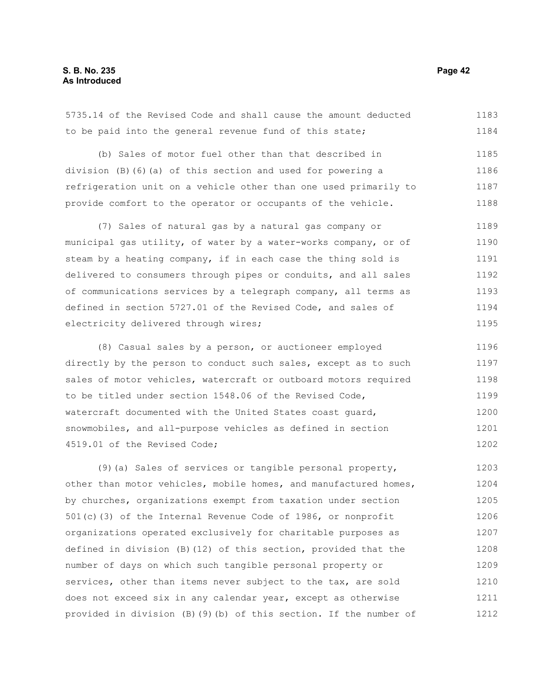5735.14 of the Revised Code and shall cause the amount deducted to be paid into the general revenue fund of this state; 1183 1184

(b) Sales of motor fuel other than that described in division (B)(6)(a) of this section and used for powering a refrigeration unit on a vehicle other than one used primarily to provide comfort to the operator or occupants of the vehicle. 1185 1186 1187 1188

(7) Sales of natural gas by a natural gas company or municipal gas utility, of water by a water-works company, or of steam by a heating company, if in each case the thing sold is delivered to consumers through pipes or conduits, and all sales of communications services by a telegraph company, all terms as defined in section 5727.01 of the Revised Code, and sales of electricity delivered through wires; 1189 1190 1191 1192 1193 1194 1195

(8) Casual sales by a person, or auctioneer employed directly by the person to conduct such sales, except as to such sales of motor vehicles, watercraft or outboard motors required to be titled under section 1548.06 of the Revised Code, watercraft documented with the United States coast guard, snowmobiles, and all-purpose vehicles as defined in section 4519.01 of the Revised Code; 1196 1197 1198 1199 1200 1201 1202

(9)(a) Sales of services or tangible personal property, other than motor vehicles, mobile homes, and manufactured homes, by churches, organizations exempt from taxation under section 501(c)(3) of the Internal Revenue Code of 1986, or nonprofit organizations operated exclusively for charitable purposes as defined in division (B)(12) of this section, provided that the number of days on which such tangible personal property or services, other than items never subject to the tax, are sold does not exceed six in any calendar year, except as otherwise provided in division (B)(9)(b) of this section. If the number of 1203 1204 1205 1206 1207 1208 1209 1210 1211 1212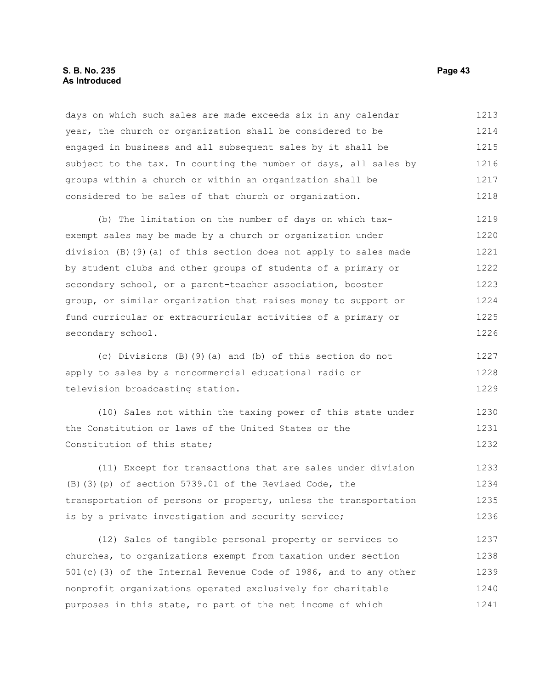### **S. B. No. 235 Page 43 As Introduced**

days on which such sales are made exceeds six in any calendar year, the church or organization shall be considered to be engaged in business and all subsequent sales by it shall be subject to the tax. In counting the number of days, all sales by groups within a church or within an organization shall be considered to be sales of that church or organization. 1213 1214 1215 1216 1217 1218

(b) The limitation on the number of days on which taxexempt sales may be made by a church or organization under division (B)(9)(a) of this section does not apply to sales made by student clubs and other groups of students of a primary or secondary school, or a parent-teacher association, booster group, or similar organization that raises money to support or fund curricular or extracurricular activities of a primary or secondary school. 1219 1220 1221 1222 1223 1224 1225 1226

(c) Divisions (B)(9)(a) and (b) of this section do not apply to sales by a noncommercial educational radio or television broadcasting station. 1227 1228 1229

(10) Sales not within the taxing power of this state under the Constitution or laws of the United States or the Constitution of this state; 1230 1231 1232

(11) Except for transactions that are sales under division (B)(3)(p) of section 5739.01 of the Revised Code, the transportation of persons or property, unless the transportation is by a private investigation and security service; 1233 1234 1235 1236

(12) Sales of tangible personal property or services to churches, to organizations exempt from taxation under section 501(c)(3) of the Internal Revenue Code of 1986, and to any other nonprofit organizations operated exclusively for charitable purposes in this state, no part of the net income of which 1237 1238 1239 1240 1241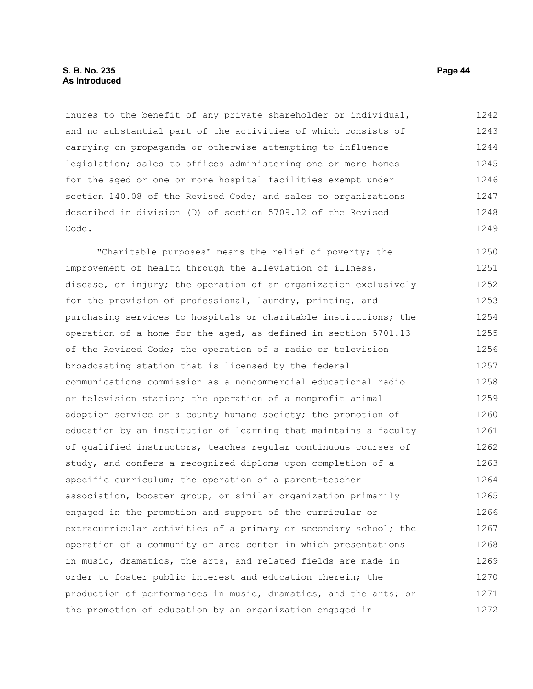# **S. B. No. 235 Page 44 As Introduced**

inures to the benefit of any private shareholder or individual, and no substantial part of the activities of which consists of carrying on propaganda or otherwise attempting to influence legislation; sales to offices administering one or more homes for the aged or one or more hospital facilities exempt under section 140.08 of the Revised Code; and sales to organizations described in division (D) of section 5709.12 of the Revised Code. 1242 1243 1244 1245 1246 1247 1248 1249

"Charitable purposes" means the relief of poverty; the improvement of health through the alleviation of illness, disease, or injury; the operation of an organization exclusively for the provision of professional, laundry, printing, and purchasing services to hospitals or charitable institutions; the operation of a home for the aged, as defined in section 5701.13 of the Revised Code; the operation of a radio or television broadcasting station that is licensed by the federal communications commission as a noncommercial educational radio or television station; the operation of a nonprofit animal adoption service or a county humane society; the promotion of education by an institution of learning that maintains a faculty of qualified instructors, teaches regular continuous courses of study, and confers a recognized diploma upon completion of a specific curriculum; the operation of a parent-teacher association, booster group, or similar organization primarily engaged in the promotion and support of the curricular or extracurricular activities of a primary or secondary school; the operation of a community or area center in which presentations in music, dramatics, the arts, and related fields are made in order to foster public interest and education therein; the production of performances in music, dramatics, and the arts; or the promotion of education by an organization engaged in 1250 1251 1252 1253 1254 1255 1256 1257 1258 1259 1260 1261 1262 1263 1264 1265 1266 1267 1268 1269 1270 1271 1272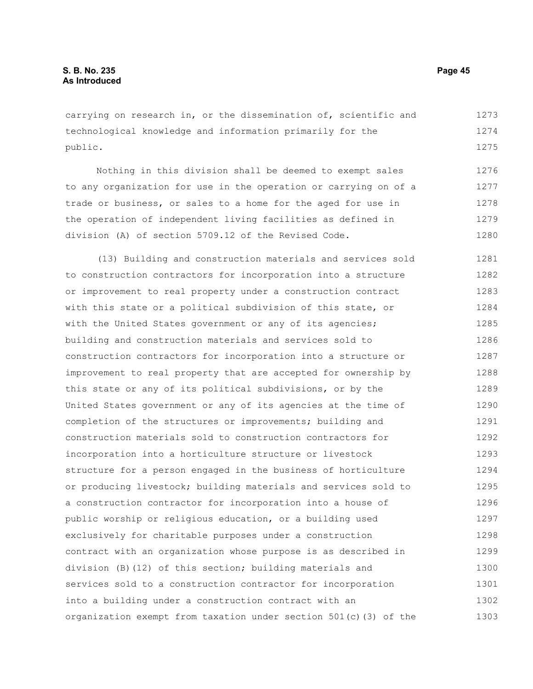carrying on research in, or the dissemination of, scientific and technological knowledge and information primarily for the public. 1273 1274 1275

Nothing in this division shall be deemed to exempt sales to any organization for use in the operation or carrying on of a trade or business, or sales to a home for the aged for use in the operation of independent living facilities as defined in division (A) of section 5709.12 of the Revised Code. 1276 1277 1278 1279 1280

(13) Building and construction materials and services sold to construction contractors for incorporation into a structure or improvement to real property under a construction contract with this state or a political subdivision of this state, or with the United States government or any of its agencies; building and construction materials and services sold to construction contractors for incorporation into a structure or improvement to real property that are accepted for ownership by this state or any of its political subdivisions, or by the United States government or any of its agencies at the time of completion of the structures or improvements; building and construction materials sold to construction contractors for incorporation into a horticulture structure or livestock structure for a person engaged in the business of horticulture or producing livestock; building materials and services sold to a construction contractor for incorporation into a house of public worship or religious education, or a building used exclusively for charitable purposes under a construction contract with an organization whose purpose is as described in division (B)(12) of this section; building materials and services sold to a construction contractor for incorporation into a building under a construction contract with an organization exempt from taxation under section 501(c)(3) of the 1281 1282 1283 1284 1285 1286 1287 1288 1289 1290 1291 1292 1293 1294 1295 1296 1297 1298 1299 1300 1301 1302 1303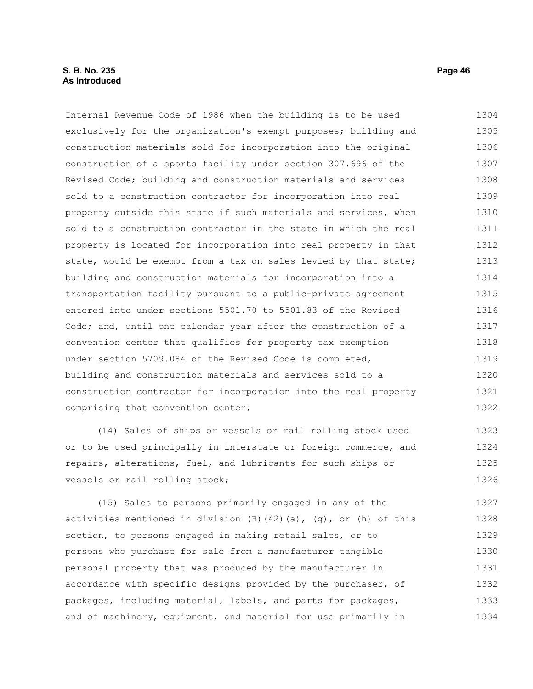# **S. B. No. 235 Page 46 As Introduced**

Internal Revenue Code of 1986 when the building is to be used exclusively for the organization's exempt purposes; building and construction materials sold for incorporation into the original construction of a sports facility under section 307.696 of the Revised Code; building and construction materials and services sold to a construction contractor for incorporation into real property outside this state if such materials and services, when sold to a construction contractor in the state in which the real property is located for incorporation into real property in that state, would be exempt from a tax on sales levied by that state; building and construction materials for incorporation into a transportation facility pursuant to a public-private agreement entered into under sections 5501.70 to 5501.83 of the Revised Code; and, until one calendar year after the construction of a convention center that qualifies for property tax exemption under section 5709.084 of the Revised Code is completed, building and construction materials and services sold to a construction contractor for incorporation into the real property comprising that convention center; 1304 1305 1306 1307 1308 1309 1310 1311 1312 1313 1314 1315 1316 1317 1318 1319 1320 1321 1322

(14) Sales of ships or vessels or rail rolling stock used or to be used principally in interstate or foreign commerce, and repairs, alterations, fuel, and lubricants for such ships or vessels or rail rolling stock; 1323 1324 1325 1326

(15) Sales to persons primarily engaged in any of the activities mentioned in division  $(B)$   $(42)$   $(a)$ ,  $(g)$ , or  $(h)$  of this section, to persons engaged in making retail sales, or to persons who purchase for sale from a manufacturer tangible personal property that was produced by the manufacturer in accordance with specific designs provided by the purchaser, of packages, including material, labels, and parts for packages, and of machinery, equipment, and material for use primarily in 1327 1328 1329 1330 1331 1332 1333 1334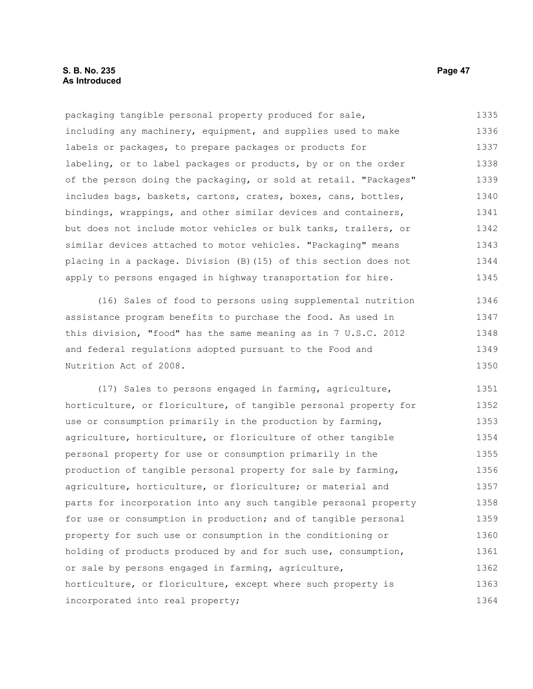packaging tangible personal property produced for sale, including any machinery, equipment, and supplies used to make labels or packages, to prepare packages or products for labeling, or to label packages or products, by or on the order of the person doing the packaging, or sold at retail. "Packages" includes bags, baskets, cartons, crates, boxes, cans, bottles, bindings, wrappings, and other similar devices and containers, but does not include motor vehicles or bulk tanks, trailers, or similar devices attached to motor vehicles. "Packaging" means placing in a package. Division (B)(15) of this section does not apply to persons engaged in highway transportation for hire. (16) Sales of food to persons using supplemental nutrition 1335 1336 1337 1338 1339 1340 1341 1342 1343 1344 1345 1346

assistance program benefits to purchase the food. As used in this division, "food" has the same meaning as in 7 U.S.C. 2012 and federal regulations adopted pursuant to the Food and Nutrition Act of 2008. 1347 1348 1349 1350

(17) Sales to persons engaged in farming, agriculture, horticulture, or floriculture, of tangible personal property for use or consumption primarily in the production by farming, agriculture, horticulture, or floriculture of other tangible personal property for use or consumption primarily in the production of tangible personal property for sale by farming, agriculture, horticulture, or floriculture; or material and parts for incorporation into any such tangible personal property for use or consumption in production; and of tangible personal property for such use or consumption in the conditioning or holding of products produced by and for such use, consumption, or sale by persons engaged in farming, agriculture, horticulture, or floriculture, except where such property is incorporated into real property; 1351 1352 1353 1354 1355 1356 1357 1358 1359 1360 1361 1362 1363 1364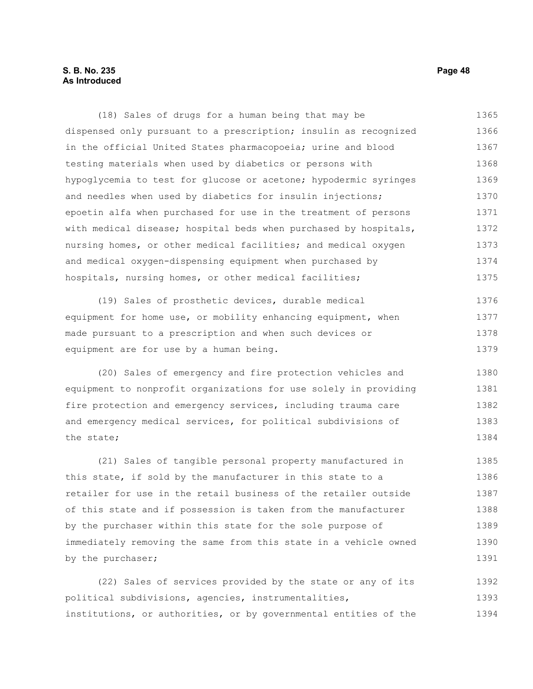# **S. B. No. 235 Page 48 As Introduced**

(18) Sales of drugs for a human being that may be dispensed only pursuant to a prescription; insulin as recognized in the official United States pharmacopoeia; urine and blood testing materials when used by diabetics or persons with hypoglycemia to test for glucose or acetone; hypodermic syringes and needles when used by diabetics for insulin injections; epoetin alfa when purchased for use in the treatment of persons with medical disease; hospital beds when purchased by hospitals, nursing homes, or other medical facilities; and medical oxygen and medical oxygen-dispensing equipment when purchased by hospitals, nursing homes, or other medical facilities; 1365 1366 1367 1368 1369 1370 1371 1372 1373 1374 1375

(19) Sales of prosthetic devices, durable medical equipment for home use, or mobility enhancing equipment, when made pursuant to a prescription and when such devices or equipment are for use by a human being. 1376 1377 1378 1379

(20) Sales of emergency and fire protection vehicles and equipment to nonprofit organizations for use solely in providing fire protection and emergency services, including trauma care and emergency medical services, for political subdivisions of the state; 1380 1381 1382 1383 1384

(21) Sales of tangible personal property manufactured in this state, if sold by the manufacturer in this state to a retailer for use in the retail business of the retailer outside of this state and if possession is taken from the manufacturer by the purchaser within this state for the sole purpose of immediately removing the same from this state in a vehicle owned by the purchaser; 1385 1386 1387 1388 1389 1390 1391

(22) Sales of services provided by the state or any of its political subdivisions, agencies, instrumentalities, institutions, or authorities, or by governmental entities of the 1392 1393 1394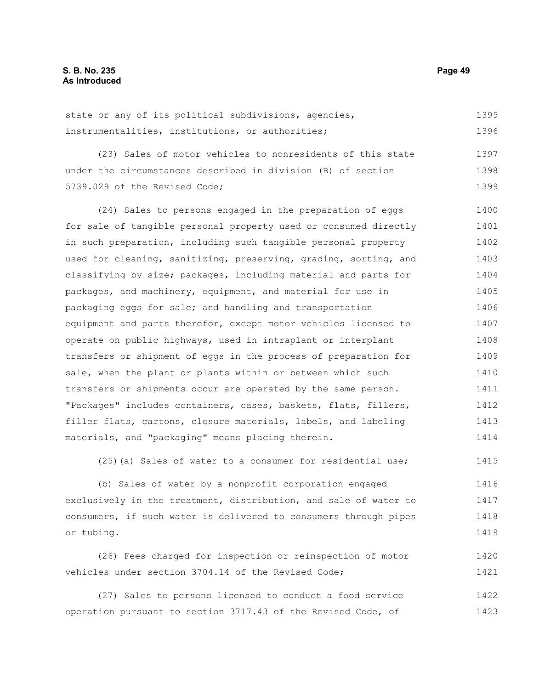| state or any of its political subdivisions, agencies, | 1395 |
|-------------------------------------------------------|------|
| instrumentalities, institutions, or authorities;      | 1396 |

(23) Sales of motor vehicles to nonresidents of this state under the circumstances described in division (B) of section 5739.029 of the Revised Code; 1397 1398 1399

(24) Sales to persons engaged in the preparation of eggs for sale of tangible personal property used or consumed directly in such preparation, including such tangible personal property used for cleaning, sanitizing, preserving, grading, sorting, and classifying by size; packages, including material and parts for packages, and machinery, equipment, and material for use in packaging eggs for sale; and handling and transportation equipment and parts therefor, except motor vehicles licensed to operate on public highways, used in intraplant or interplant transfers or shipment of eggs in the process of preparation for sale, when the plant or plants within or between which such transfers or shipments occur are operated by the same person. "Packages" includes containers, cases, baskets, flats, fillers, filler flats, cartons, closure materials, labels, and labeling materials, and "packaging" means placing therein. 1400 1401 1402 1403 1404 1405 1406 1407 1408 1409 1410 1411 1412 1413 1414

(25)(a) Sales of water to a consumer for residential use; 1415

(b) Sales of water by a nonprofit corporation engaged exclusively in the treatment, distribution, and sale of water to consumers, if such water is delivered to consumers through pipes or tubing. 1416 1417 1418 1419

(26) Fees charged for inspection or reinspection of motor vehicles under section 3704.14 of the Revised Code; 1420 1421

(27) Sales to persons licensed to conduct a food service operation pursuant to section 3717.43 of the Revised Code, of 1422 1423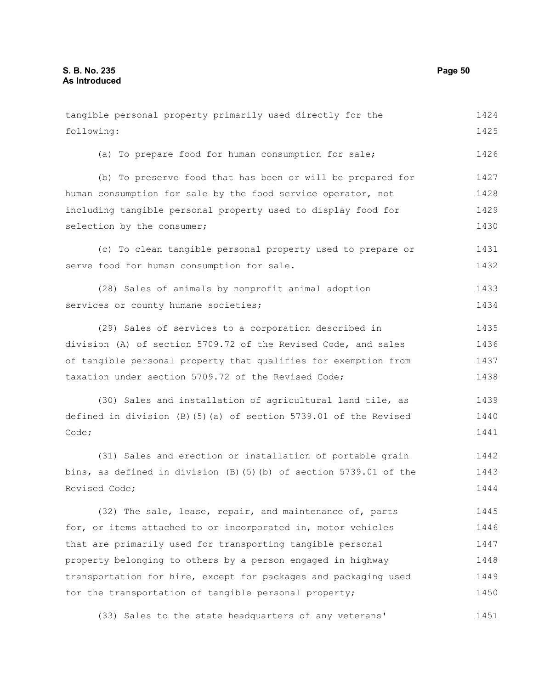tangible personal property primarily used directly for the following: (a) To prepare food for human consumption for sale; (b) To preserve food that has been or will be prepared for human consumption for sale by the food service operator, not including tangible personal property used to display food for selection by the consumer; (c) To clean tangible personal property used to prepare or serve food for human consumption for sale. (28) Sales of animals by nonprofit animal adoption services or county humane societies; (29) Sales of services to a corporation described in division (A) of section 5709.72 of the Revised Code, and sales of tangible personal property that qualifies for exemption from taxation under section 5709.72 of the Revised Code; (30) Sales and installation of agricultural land tile, as defined in division (B)(5)(a) of section 5739.01 of the Revised Code; (31) Sales and erection or installation of portable grain bins, as defined in division (B)(5)(b) of section 5739.01 of the Revised Code; (32) The sale, lease, repair, and maintenance of, parts for, or items attached to or incorporated in, motor vehicles that are primarily used for transporting tangible personal property belonging to others by a person engaged in highway transportation for hire, except for packages and packaging used for the transportation of tangible personal property; (33) Sales to the state headquarters of any veterans' 1424 1425 1426 1427 1428 1429 1430 1431 1432 1433 1434 1435 1436 1437 1438 1439 1440 1441 1442 1443 1444 1445 1446 1447 1448 1449 1450 1451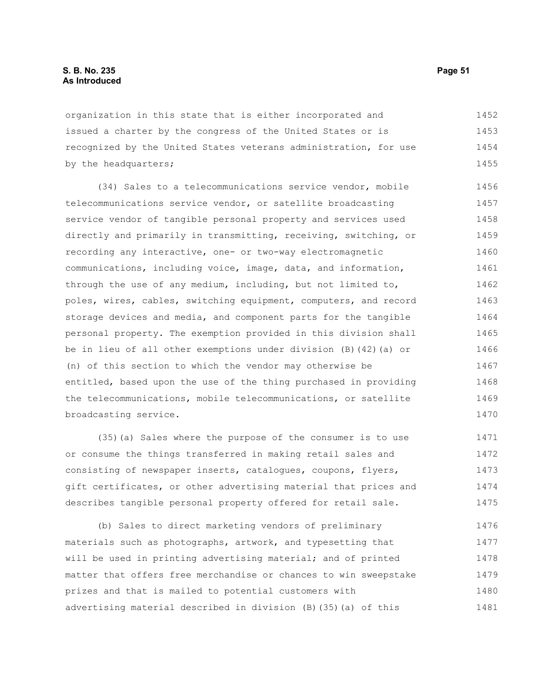organization in this state that is either incorporated and issued a charter by the congress of the United States or is recognized by the United States veterans administration, for use by the headquarters; 1452 1453 1454 1455

(34) Sales to a telecommunications service vendor, mobile telecommunications service vendor, or satellite broadcasting service vendor of tangible personal property and services used directly and primarily in transmitting, receiving, switching, or recording any interactive, one- or two-way electromagnetic communications, including voice, image, data, and information, through the use of any medium, including, but not limited to, poles, wires, cables, switching equipment, computers, and record storage devices and media, and component parts for the tangible personal property. The exemption provided in this division shall be in lieu of all other exemptions under division (B)(42)(a) or (n) of this section to which the vendor may otherwise be entitled, based upon the use of the thing purchased in providing the telecommunications, mobile telecommunications, or satellite broadcasting service. 1456 1457 1458 1459 1460 1461 1462 1463 1464 1465 1466 1467 1468 1469 1470

(35)(a) Sales where the purpose of the consumer is to use or consume the things transferred in making retail sales and consisting of newspaper inserts, catalogues, coupons, flyers, gift certificates, or other advertising material that prices and describes tangible personal property offered for retail sale. 1471 1472 1473 1474 1475

(b) Sales to direct marketing vendors of preliminary materials such as photographs, artwork, and typesetting that will be used in printing advertising material; and of printed matter that offers free merchandise or chances to win sweepstake prizes and that is mailed to potential customers with advertising material described in division (B)(35)(a) of this 1476 1477 1478 1479 1480 1481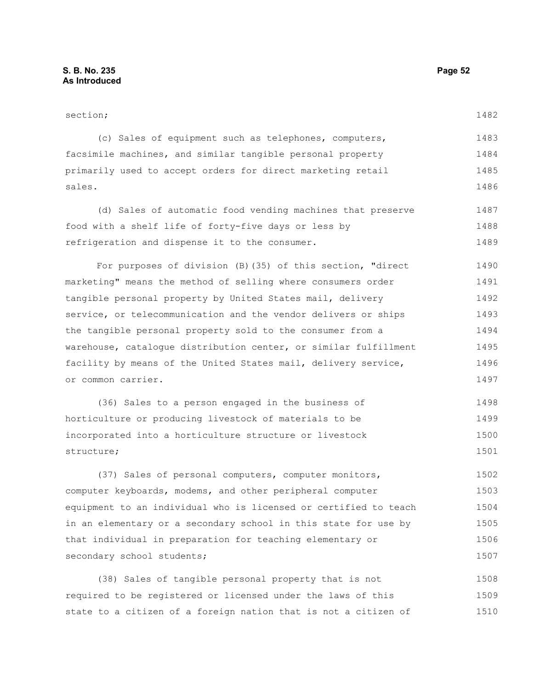section; (c) Sales of equipment such as telephones, computers, facsimile machines, and similar tangible personal property primarily used to accept orders for direct marketing retail sales. (d) Sales of automatic food vending machines that preserve food with a shelf life of forty-five days or less by refrigeration and dispense it to the consumer. For purposes of division (B)(35) of this section, "direct marketing" means the method of selling where consumers order tangible personal property by United States mail, delivery service, or telecommunication and the vendor delivers or ships the tangible personal property sold to the consumer from a warehouse, catalogue distribution center, or similar fulfillment facility by means of the United States mail, delivery service, or common carrier. (36) Sales to a person engaged in the business of horticulture or producing livestock of materials to be incorporated into a horticulture structure or livestock structure; (37) Sales of personal computers, computer monitors, 1482 1483 1484 1485 1486 1487 1488 1489 1490 1491 1492 1493 1494 1495 1496 1497 1498 1499 1500 1501 1502

computer keyboards, modems, and other peripheral computer equipment to an individual who is licensed or certified to teach in an elementary or a secondary school in this state for use by that individual in preparation for teaching elementary or secondary school students; 1503 1504 1505 1506 1507

(38) Sales of tangible personal property that is not required to be registered or licensed under the laws of this state to a citizen of a foreign nation that is not a citizen of 1508 1509 1510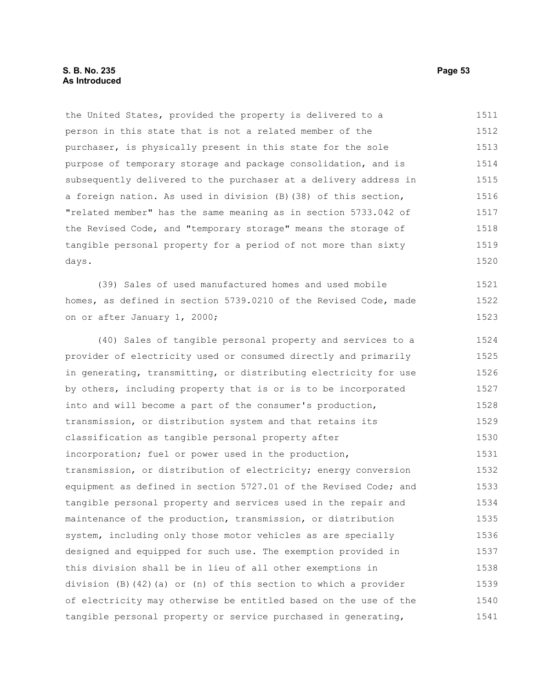# **S. B. No. 235 Page 53 As Introduced**

the United States, provided the property is delivered to a person in this state that is not a related member of the purchaser, is physically present in this state for the sole purpose of temporary storage and package consolidation, and is subsequently delivered to the purchaser at a delivery address in a foreign nation. As used in division (B)(38) of this section, "related member" has the same meaning as in section 5733.042 of the Revised Code, and "temporary storage" means the storage of tangible personal property for a period of not more than sixty days. (39) Sales of used manufactured homes and used mobile homes, as defined in section 5739.0210 of the Revised Code, made on or after January 1, 2000; (40) Sales of tangible personal property and services to a provider of electricity used or consumed directly and primarily in generating, transmitting, or distributing electricity for use by others, including property that is or is to be incorporated into and will become a part of the consumer's production, transmission, or distribution system and that retains its classification as tangible personal property after incorporation; fuel or power used in the production, transmission, or distribution of electricity; energy conversion equipment as defined in section 5727.01 of the Revised Code; and tangible personal property and services used in the repair and maintenance of the production, transmission, or distribution system, including only those motor vehicles as are specially designed and equipped for such use. The exemption provided in this division shall be in lieu of all other exemptions in division (B)(42)(a) or (n) of this section to which a provider of electricity may otherwise be entitled based on the use of the tangible personal property or service purchased in generating, 1511 1512 1513 1514 1515 1516 1517 1518 1519 1520 1521 1522 1523 1524 1525 1526 1527 1528 1529 1530 1531 1532 1533 1534 1535 1536 1537 1538 1539 1540 1541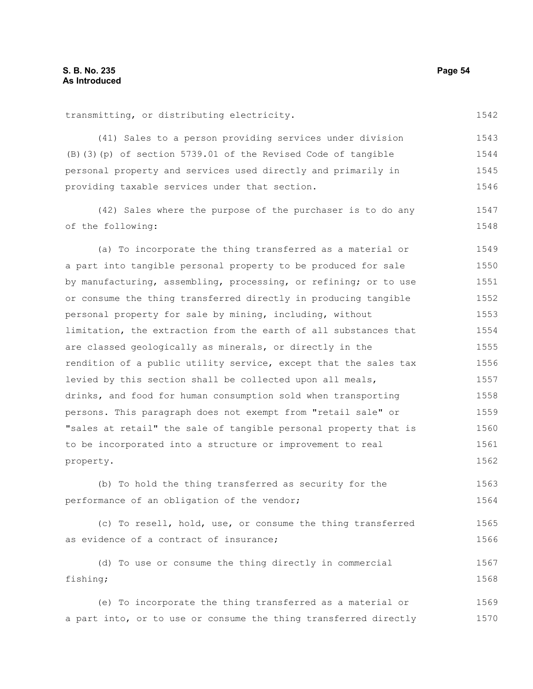fishing;

transmitting, or distributing electricity.

(41) Sales to a person providing services under division (B)(3)(p) of section 5739.01 of the Revised Code of tangible personal property and services used directly and primarily in providing taxable services under that section. (42) Sales where the purpose of the purchaser is to do any of the following: (a) To incorporate the thing transferred as a material or a part into tangible personal property to be produced for sale by manufacturing, assembling, processing, or refining; or to use or consume the thing transferred directly in producing tangible personal property for sale by mining, including, without limitation, the extraction from the earth of all substances that are classed geologically as minerals, or directly in the rendition of a public utility service, except that the sales tax levied by this section shall be collected upon all meals, drinks, and food for human consumption sold when transporting persons. This paragraph does not exempt from "retail sale" or "sales at retail" the sale of tangible personal property that is to be incorporated into a structure or improvement to real property. (b) To hold the thing transferred as security for the performance of an obligation of the vendor; (c) To resell, hold, use, or consume the thing transferred as evidence of a contract of insurance; (d) To use or consume the thing directly in commercial 1543 1544 1545 1546 1547 1548 1549 1550 1551 1552 1553 1554 1555 1556 1557 1558 1559 1560 1561 1562 1563 1564 1565 1566 1567

(e) To incorporate the thing transferred as a material or a part into, or to use or consume the thing transferred directly 1569 1570

1542

1568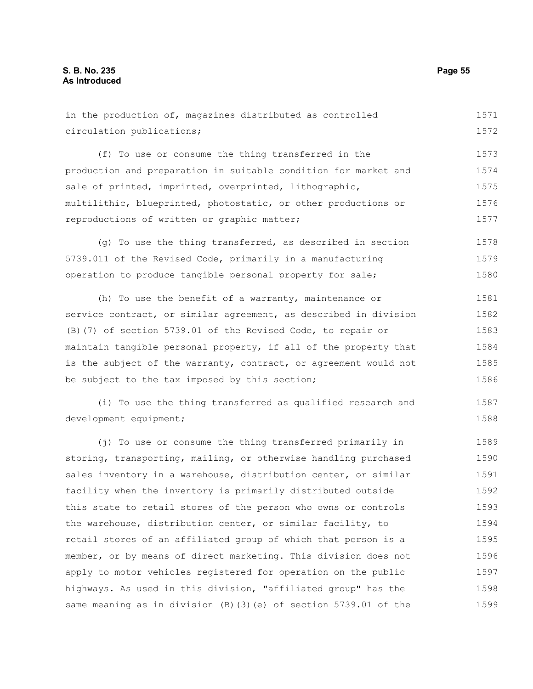in the production of, magazines distributed as controlled circulation publications; (f) To use or consume the thing transferred in the production and preparation in suitable condition for market and sale of printed, imprinted, overprinted, lithographic, multilithic, blueprinted, photostatic, or other productions or reproductions of written or graphic matter; (g) To use the thing transferred, as described in section 5739.011 of the Revised Code, primarily in a manufacturing operation to produce tangible personal property for sale; (h) To use the benefit of a warranty, maintenance or service contract, or similar agreement, as described in division (B)(7) of section 5739.01 of the Revised Code, to repair or maintain tangible personal property, if all of the property that is the subject of the warranty, contract, or agreement would not be subject to the tax imposed by this section; (i) To use the thing transferred as qualified research and development equipment; (j) To use or consume the thing transferred primarily in storing, transporting, mailing, or otherwise handling purchased sales inventory in a warehouse, distribution center, or similar facility when the inventory is primarily distributed outside this state to retail stores of the person who owns or controls 1571 1572 1573 1574 1575 1576 1577 1578 1579 1580 1581 1582 1583 1584 1585 1586 1587 1588 1589 1590 1591 1592 1593

the warehouse, distribution center, or similar facility, to retail stores of an affiliated group of which that person is a member, or by means of direct marketing. This division does not apply to motor vehicles registered for operation on the public highways. As used in this division, "affiliated group" has the same meaning as in division (B)(3)(e) of section 5739.01 of the 1594 1595 1596 1597 1598 1599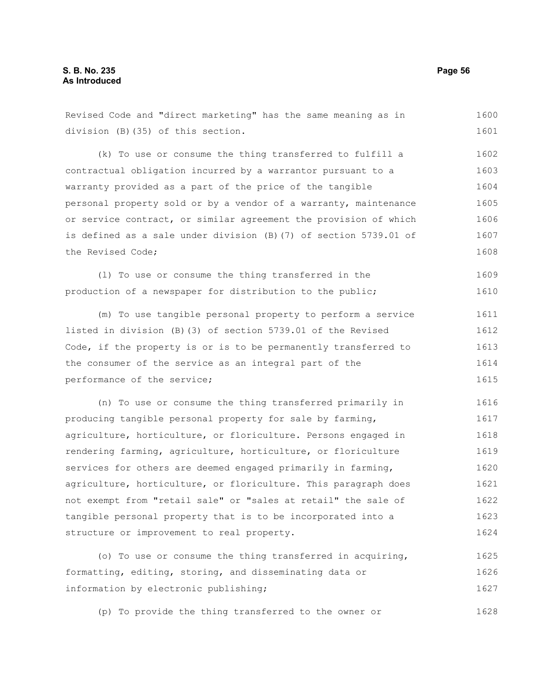Revised Code and "direct marketing" has the same meaning as in division (B)(35) of this section. 1600 1601

(k) To use or consume the thing transferred to fulfill a contractual obligation incurred by a warrantor pursuant to a warranty provided as a part of the price of the tangible personal property sold or by a vendor of a warranty, maintenance or service contract, or similar agreement the provision of which is defined as a sale under division (B)(7) of section 5739.01 of the Revised Code; 1602 1603 1604 1605 1606 1607 1608

(l) To use or consume the thing transferred in the production of a newspaper for distribution to the public; 1609 1610

(m) To use tangible personal property to perform a service listed in division (B)(3) of section 5739.01 of the Revised Code, if the property is or is to be permanently transferred to the consumer of the service as an integral part of the performance of the service; 1611 1612 1613 1614 1615

(n) To use or consume the thing transferred primarily in producing tangible personal property for sale by farming, agriculture, horticulture, or floriculture. Persons engaged in rendering farming, agriculture, horticulture, or floriculture services for others are deemed engaged primarily in farming, agriculture, horticulture, or floriculture. This paragraph does not exempt from "retail sale" or "sales at retail" the sale of tangible personal property that is to be incorporated into a structure or improvement to real property. 1616 1617 1618 1619 1620 1621 1622 1623 1624

(o) To use or consume the thing transferred in acquiring, formatting, editing, storing, and disseminating data or information by electronic publishing; 1625 1626 1627

(p) To provide the thing transferred to the owner or 1628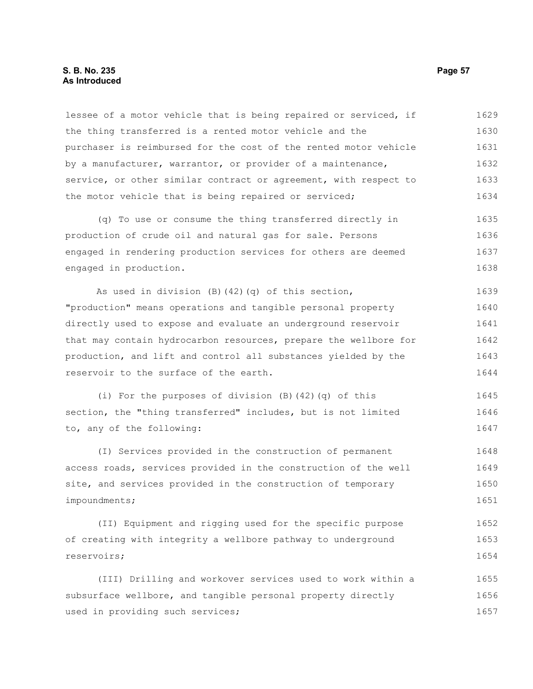### **S. B. No. 235 Page 57 As Introduced**

lessee of a motor vehicle that is being repaired or serviced, if the thing transferred is a rented motor vehicle and the purchaser is reimbursed for the cost of the rented motor vehicle by a manufacturer, warrantor, or provider of a maintenance, service, or other similar contract or agreement, with respect to the motor vehicle that is being repaired or serviced; 1629 1630 1631 1632 1633 1634

(q) To use or consume the thing transferred directly in production of crude oil and natural gas for sale. Persons engaged in rendering production services for others are deemed engaged in production. 1635 1636 1637 1638

As used in division (B)(42)(q) of this section, "production" means operations and tangible personal property directly used to expose and evaluate an underground reservoir that may contain hydrocarbon resources, prepare the wellbore for production, and lift and control all substances yielded by the reservoir to the surface of the earth. 1639 1640 1641 1642 1643 1644

(i) For the purposes of division (B)(42)(q) of this section, the "thing transferred" includes, but is not limited to, any of the following: 1645 1646 1647

(I) Services provided in the construction of permanent access roads, services provided in the construction of the well site, and services provided in the construction of temporary impoundments; 1648 1649 1650 1651

(II) Equipment and rigging used for the specific purpose of creating with integrity a wellbore pathway to underground reservoirs; 1652 1653 1654

(III) Drilling and workover services used to work within a subsurface wellbore, and tangible personal property directly used in providing such services; 1655 1656 1657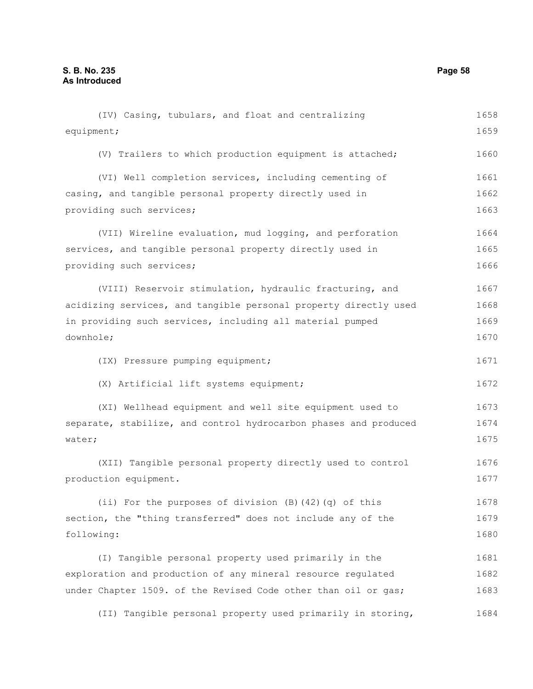(IV) Casing, tubulars, and float and centralizing equipment; (V) Trailers to which production equipment is attached; (VI) Well completion services, including cementing of casing, and tangible personal property directly used in providing such services; (VII) Wireline evaluation, mud logging, and perforation services, and tangible personal property directly used in providing such services; (VIII) Reservoir stimulation, hydraulic fracturing, and acidizing services, and tangible personal property directly used in providing such services, including all material pumped downhole; (IX) Pressure pumping equipment; (X) Artificial lift systems equipment; (XI) Wellhead equipment and well site equipment used to separate, stabilize, and control hydrocarbon phases and produced water; (XII) Tangible personal property directly used to control production equipment. (ii) For the purposes of division (B)(42)(q) of this section, the "thing transferred" does not include any of the following: (I) Tangible personal property used primarily in the exploration and production of any mineral resource regulated under Chapter 1509. of the Revised Code other than oil or gas; (II) Tangible personal property used primarily in storing, 1658 1659 1660 1661 1662 1663 1664 1665 1666 1667 1668 1669 1670 1671 1672 1673 1674 1675 1676 1677 1678 1679 1680 1681 1682 1683 1684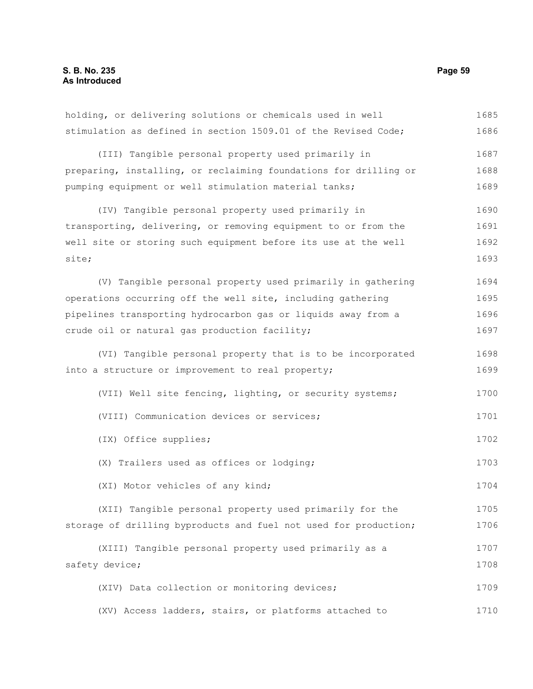holding, or delivering solutions or chemicals used in well stimulation as defined in section 1509.01 of the Revised Code; (III) Tangible personal property used primarily in preparing, installing, or reclaiming foundations for drilling or pumping equipment or well stimulation material tanks; (IV) Tangible personal property used primarily in transporting, delivering, or removing equipment to or from the well site or storing such equipment before its use at the well site; (V) Tangible personal property used primarily in gathering operations occurring off the well site, including gathering pipelines transporting hydrocarbon gas or liquids away from a crude oil or natural gas production facility; (VI) Tangible personal property that is to be incorporated into a structure or improvement to real property; (VII) Well site fencing, lighting, or security systems; (VIII) Communication devices or services; (IX) Office supplies; (X) Trailers used as offices or lodging; (XI) Motor vehicles of any kind; (XII) Tangible personal property used primarily for the storage of drilling byproducts and fuel not used for production; (XIII) Tangible personal property used primarily as a safety device; (XIV) Data collection or monitoring devices; (XV) Access ladders, stairs, or platforms attached to 1685 1686 1687 1688 1689 1690 1691 1692 1693 1694 1695 1696 1697 1698 1699 1700 1701 1702 1703 1704 1705 1706 1707 1708 1709 1710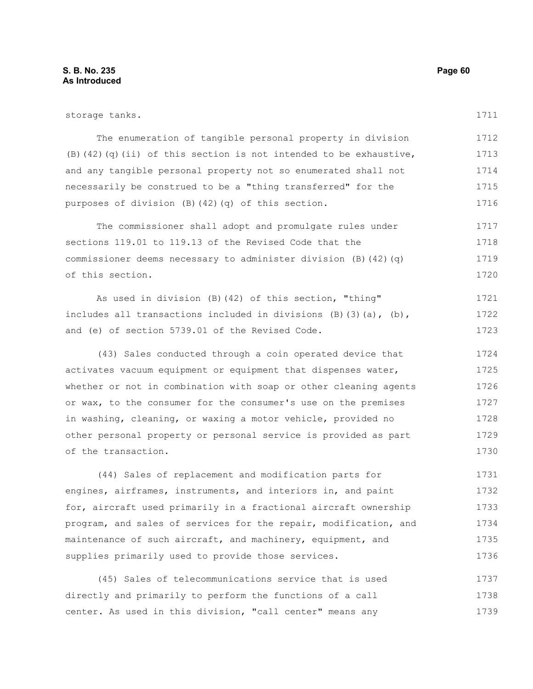# **S. B. No. 235** Page 60 **As Introduced**

| storage tanks.                                                              | 1711 |
|-----------------------------------------------------------------------------|------|
| The enumeration of tangible personal property in division                   | 1712 |
| $(B)$ (42) (q) (ii) of this section is not intended to be exhaustive,       | 1713 |
| and any tangible personal property not so enumerated shall not              | 1714 |
| necessarily be construed to be a "thing transferred" for the                | 1715 |
| purposes of division (B) (42) (q) of this section.                          | 1716 |
| The commissioner shall adopt and promulgate rules under                     | 1717 |
| sections 119.01 to 119.13 of the Revised Code that the                      | 1718 |
| commissioner deems necessary to administer division (B) (42) (q)            | 1719 |
| of this section.                                                            | 1720 |
| As used in division (B) (42) of this section, "thing"                       | 1721 |
| includes all transactions included in divisions $(B)$ $(3)$ $(a)$ , $(b)$ , | 1722 |
| and (e) of section 5739.01 of the Revised Code.                             | 1723 |
| (43) Sales conducted through a coin operated device that                    | 1724 |
| activates vacuum equipment or equipment that dispenses water,               | 1725 |
| whether or not in combination with soap or other cleaning agents            | 1726 |
| or wax, to the consumer for the consumer's use on the premises              | 1727 |
| in washing, cleaning, or waxing a motor vehicle, provided no                | 1728 |
| other personal property or personal service is provided as part             | 1729 |
| of the transaction.                                                         | 1730 |
| (44) Sales of replacement and modification parts for                        | 1731 |
| engines, airframes, instruments, and interiors in, and paint                | 1732 |
| for, aircraft used primarily in a fractional aircraft ownership             | 1733 |
| program, and sales of services for the repair, modification, and            | 1734 |
| maintenance of such aircraft, and machinery, equipment, and                 | 1735 |
| supplies primarily used to provide those services.                          | 1736 |

(45) Sales of telecommunications service that is used directly and primarily to perform the functions of a call center. As used in this division, "call center" means any 1737 1738 1739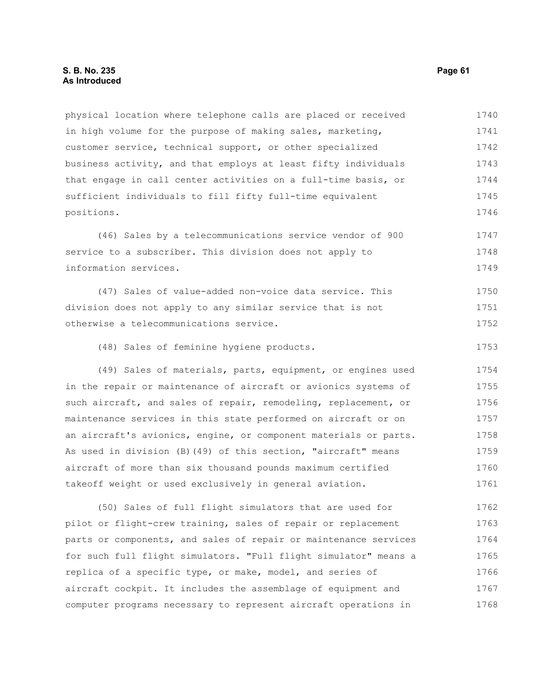# **S. B. No. 235 Page 61 As Introduced**

physical location where telephone calls are placed or received in high volume for the purpose of making sales, marketing, customer service, technical support, or other specialized business activity, and that employs at least fifty individuals that engage in call center activities on a full-time basis, or sufficient individuals to fill fifty full-time equivalent positions. 1740 1741 1742 1743 1744 1745 1746

(46) Sales by a telecommunications service vendor of 900 service to a subscriber. This division does not apply to information services. 1747 1748 1749

(47) Sales of value-added non-voice data service. This division does not apply to any similar service that is not otherwise a telecommunications service. 1750 1751 1752

(48) Sales of feminine hygiene products. 1753

(49) Sales of materials, parts, equipment, or engines used in the repair or maintenance of aircraft or avionics systems of such aircraft, and sales of repair, remodeling, replacement, or maintenance services in this state performed on aircraft or on an aircraft's avionics, engine, or component materials or parts. As used in division (B)(49) of this section, "aircraft" means aircraft of more than six thousand pounds maximum certified takeoff weight or used exclusively in general aviation. 1754 1755 1756 1757 1758 1759 1760 1761

(50) Sales of full flight simulators that are used for pilot or flight-crew training, sales of repair or replacement parts or components, and sales of repair or maintenance services for such full flight simulators. "Full flight simulator" means a replica of a specific type, or make, model, and series of aircraft cockpit. It includes the assemblage of equipment and computer programs necessary to represent aircraft operations in 1762 1763 1764 1765 1766 1767 1768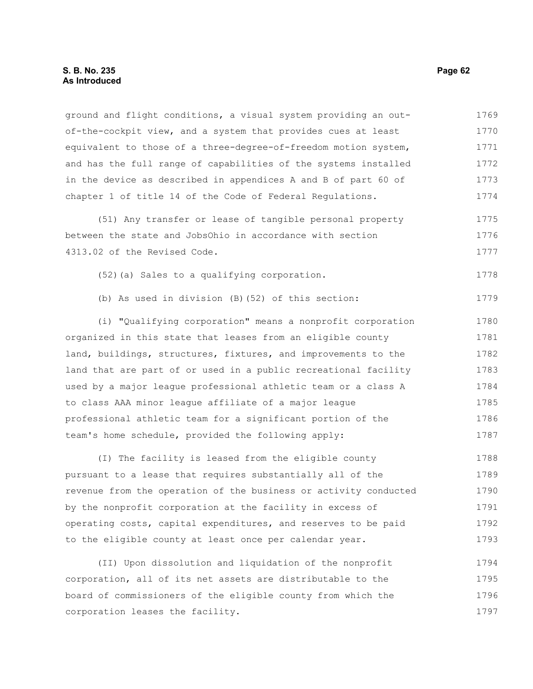# **S. B. No. 235 Page 62 As Introduced**

ground and flight conditions, a visual system providing an outof-the-cockpit view, and a system that provides cues at least equivalent to those of a three-degree-of-freedom motion system, and has the full range of capabilities of the systems installed in the device as described in appendices A and B of part 60 of chapter 1 of title 14 of the Code of Federal Regulations. 1769 1770 1771 1772 1773 1774

(51) Any transfer or lease of tangible personal property between the state and JobsOhio in accordance with section 4313.02 of the Revised Code. 1775 1776 1777

(52)(a) Sales to a qualifying corporation. 1778

(b) As used in division (B)(52) of this section:

(i) "Qualifying corporation" means a nonprofit corporation organized in this state that leases from an eligible county land, buildings, structures, fixtures, and improvements to the land that are part of or used in a public recreational facility used by a major league professional athletic team or a class A to class AAA minor league affiliate of a major league professional athletic team for a significant portion of the team's home schedule, provided the following apply: 1780 1781 1782 1783 1784 1785 1786 1787

(I) The facility is leased from the eligible county pursuant to a lease that requires substantially all of the revenue from the operation of the business or activity conducted by the nonprofit corporation at the facility in excess of operating costs, capital expenditures, and reserves to be paid to the eligible county at least once per calendar year. 1788 1789 1790 1791 1792 1793

(II) Upon dissolution and liquidation of the nonprofit corporation, all of its net assets are distributable to the board of commissioners of the eligible county from which the corporation leases the facility. 1794 1795 1796 1797

1779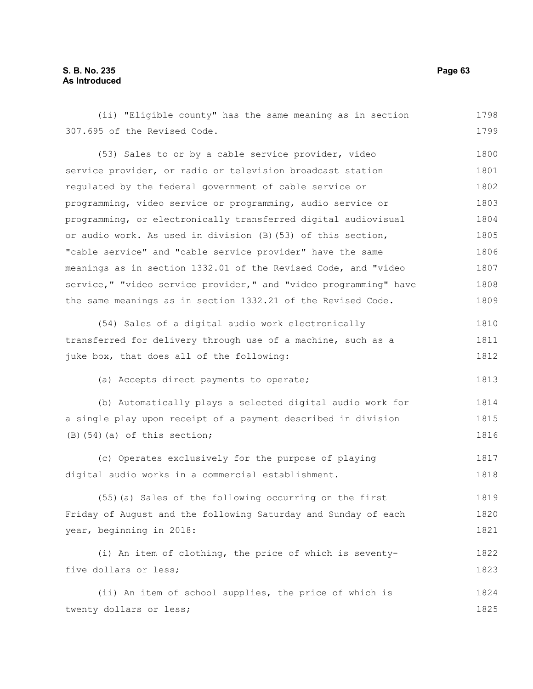# **S. B. No. 235 Page 63 As Introduced**

(ii) "Eligible county" has the same meaning as in section 307.695 of the Revised Code. (53) Sales to or by a cable service provider, video service provider, or radio or television broadcast station regulated by the federal government of cable service or programming, video service or programming, audio service or programming, or electronically transferred digital audiovisual or audio work. As used in division (B)(53) of this section, "cable service" and "cable service provider" have the same meanings as in section 1332.01 of the Revised Code, and "video service," "video service provider," and "video programming" have the same meanings as in section 1332.21 of the Revised Code. (54) Sales of a digital audio work electronically transferred for delivery through use of a machine, such as a juke box, that does all of the following: (a) Accepts direct payments to operate; (b) Automatically plays a selected digital audio work for a single play upon receipt of a payment described in division  $(B)$ (54)(a) of this section; (c) Operates exclusively for the purpose of playing digital audio works in a commercial establishment. (55)(a) Sales of the following occurring on the first Friday of August and the following Saturday and Sunday of each year, beginning in 2018: (i) An item of clothing, the price of which is seventyfive dollars or less; (ii) An item of school supplies, the price of which is 1798 1799 1800 1801 1802 1803 1804 1805 1806 1807 1808 1809 1810 1811 1812 1813 1814 1815 1816 1817 1818 1819 1820 1821 1822 1823 1824

twenty dollars or less; 1825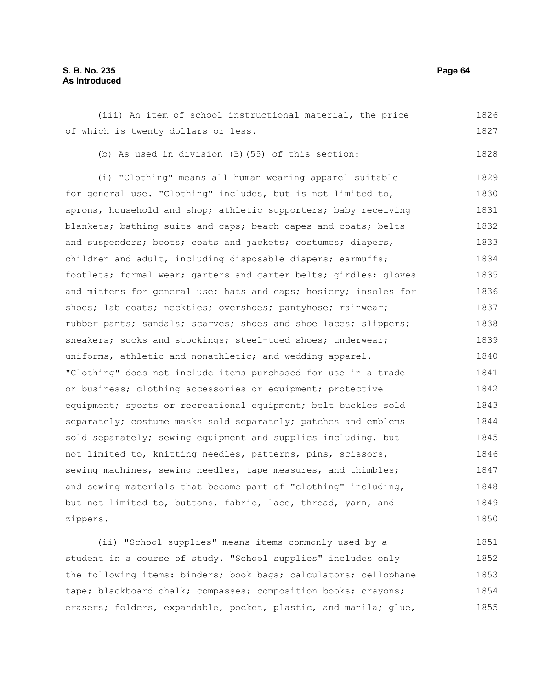# **S. B. No. 235 Page 64 As Introduced**

(iii) An item of school instructional material, the price of which is twenty dollars or less. 1826 1827

(b) As used in division (B)(55) of this section:

(i) "Clothing" means all human wearing apparel suitable for general use. "Clothing" includes, but is not limited to, aprons, household and shop; athletic supporters; baby receiving blankets; bathing suits and caps; beach capes and coats; belts and suspenders; boots; coats and jackets; costumes; diapers, children and adult, including disposable diapers; earmuffs; footlets; formal wear; garters and garter belts; girdles; gloves and mittens for general use; hats and caps; hosiery; insoles for shoes; lab coats; neckties; overshoes; pantyhose; rainwear; rubber pants; sandals; scarves; shoes and shoe laces; slippers; sneakers; socks and stockings; steel-toed shoes; underwear; uniforms, athletic and nonathletic; and wedding apparel. "Clothing" does not include items purchased for use in a trade or business; clothing accessories or equipment; protective equipment; sports or recreational equipment; belt buckles sold separately; costume masks sold separately; patches and emblems sold separately; sewing equipment and supplies including, but not limited to, knitting needles, patterns, pins, scissors, sewing machines, sewing needles, tape measures, and thimbles; and sewing materials that become part of "clothing" including, but not limited to, buttons, fabric, lace, thread, yarn, and zippers. 1829 1830 1831 1832 1833 1834 1835 1836 1837 1838 1839 1840 1841 1842 1843 1844 1845 1846 1847 1848 1849 1850

(ii) "School supplies" means items commonly used by a student in a course of study. "School supplies" includes only the following items: binders; book bags; calculators; cellophane tape; blackboard chalk; compasses; composition books; crayons; erasers; folders, expandable, pocket, plastic, and manila; glue, 1851 1852 1853 1854 1855

1828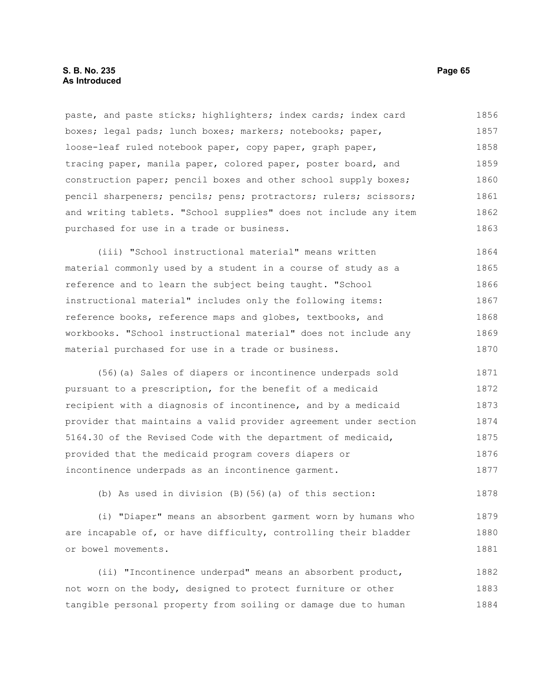# **S. B. No. 235 Page 65 As Introduced**

paste, and paste sticks; highlighters; index cards; index card boxes; legal pads; lunch boxes; markers; notebooks; paper, loose-leaf ruled notebook paper, copy paper, graph paper, tracing paper, manila paper, colored paper, poster board, and construction paper; pencil boxes and other school supply boxes; pencil sharpeners; pencils; pens; protractors; rulers; scissors; and writing tablets. "School supplies" does not include any item purchased for use in a trade or business. 1856 1857 1858 1859 1860 1861 1862 1863

(iii) "School instructional material" means written material commonly used by a student in a course of study as a reference and to learn the subject being taught. "School instructional material" includes only the following items: reference books, reference maps and globes, textbooks, and workbooks. "School instructional material" does not include any material purchased for use in a trade or business. 1864 1865 1866 1867 1868 1869 1870

(56)(a) Sales of diapers or incontinence underpads sold pursuant to a prescription, for the benefit of a medicaid recipient with a diagnosis of incontinence, and by a medicaid provider that maintains a valid provider agreement under section 5164.30 of the Revised Code with the department of medicaid, provided that the medicaid program covers diapers or incontinence underpads as an incontinence garment. 1871 1872 1873 1874 1875 1876 1877

(b) As used in division (B)(56)(a) of this section:

(i) "Diaper" means an absorbent garment worn by humans who are incapable of, or have difficulty, controlling their bladder or bowel movements. 1879 1880 1881

(ii) "Incontinence underpad" means an absorbent product, not worn on the body, designed to protect furniture or other tangible personal property from soiling or damage due to human 1882 1883 1884

1878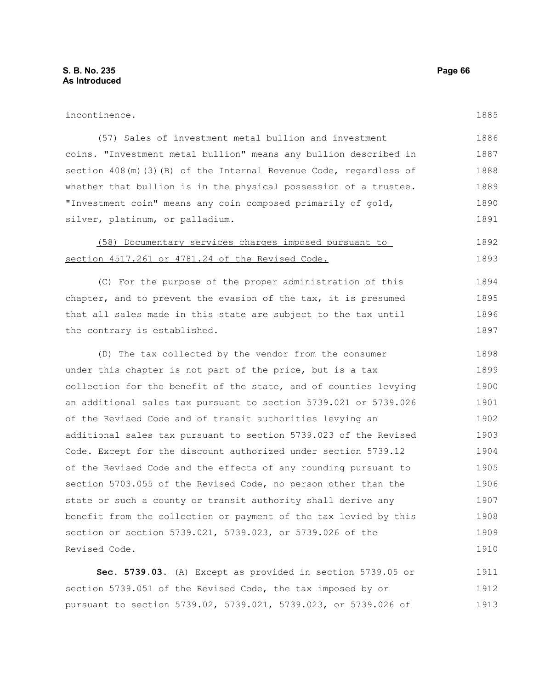Revised Code.

| incontinence.                                                      | 1885 |
|--------------------------------------------------------------------|------|
| (57) Sales of investment metal bullion and investment              | 1886 |
| coins. "Investment metal bullion" means any bullion described in   | 1887 |
| section $408(m)(3)(B)$ of the Internal Revenue Code, regardless of | 1888 |
| whether that bullion is in the physical possession of a trustee.   | 1889 |
| "Investment coin" means any coin composed primarily of gold,       | 1890 |
| silver, platinum, or palladium.                                    | 1891 |
| (58) Documentary services charges imposed pursuant to              | 1892 |
| section 4517.261 or 4781.24 of the Revised Code.                   | 1893 |
| (C) For the purpose of the proper administration of this           | 1894 |
| chapter, and to prevent the evasion of the tax, it is presumed     | 1895 |
| that all sales made in this state are subject to the tax until     | 1896 |
| the contrary is established.                                       | 1897 |
| (D) The tax collected by the vendor from the consumer              | 1898 |
| under this chapter is not part of the price, but is a tax          | 1899 |
| collection for the benefit of the state, and of counties levying   | 1900 |
| an additional sales tax pursuant to section 5739.021 or 5739.026   | 1901 |
| of the Revised Code and of transit authorities levying an          | 1902 |
| additional sales tax pursuant to section 5739.023 of the Revised   | 1903 |
| Code. Except for the discount authorized under section 5739.12     | 1904 |
| of the Revised Code and the effects of any rounding pursuant to    | 1905 |
| section 5703.055 of the Revised Code, no person other than the     | 1906 |

**Sec. 5739.03.** (A) Except as provided in section 5739.05 or section 5739.051 of the Revised Code, the tax imposed by or pursuant to section 5739.02, 5739.021, 5739.023, or 5739.026 of 1911 1912 1913

state or such a county or transit authority shall derive any

section or section 5739.021, 5739.023, or 5739.026 of the

benefit from the collection or payment of the tax levied by this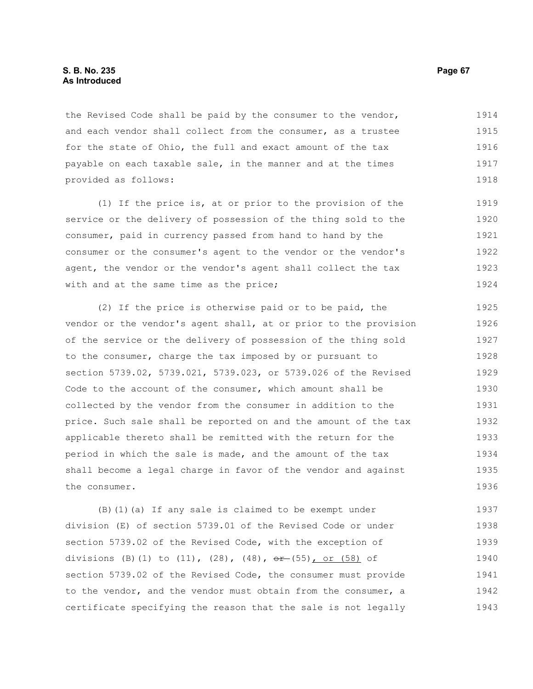### **S. B. No. 235 Page 67 As Introduced**

the Revised Code shall be paid by the consumer to the vendor, and each vendor shall collect from the consumer, as a trustee for the state of Ohio, the full and exact amount of the tax payable on each taxable sale, in the manner and at the times provided as follows: 1914 1915 1916 1917 1918

(1) If the price is, at or prior to the provision of the service or the delivery of possession of the thing sold to the consumer, paid in currency passed from hand to hand by the consumer or the consumer's agent to the vendor or the vendor's agent, the vendor or the vendor's agent shall collect the tax with and at the same time as the price; 1919 1920 1921 1922 1923 1924

(2) If the price is otherwise paid or to be paid, the vendor or the vendor's agent shall, at or prior to the provision of the service or the delivery of possession of the thing sold to the consumer, charge the tax imposed by or pursuant to section 5739.02, 5739.021, 5739.023, or 5739.026 of the Revised Code to the account of the consumer, which amount shall be collected by the vendor from the consumer in addition to the price. Such sale shall be reported on and the amount of the tax applicable thereto shall be remitted with the return for the period in which the sale is made, and the amount of the tax shall become a legal charge in favor of the vendor and against the consumer. 1925 1926 1927 1928 1929 1930 1931 1932 1933 1934 1935 1936

(B)(1)(a) If any sale is claimed to be exempt under division (E) of section 5739.01 of the Revised Code or under section 5739.02 of the Revised Code, with the exception of divisions (B)(1) to  $(11)$ ,  $(28)$ ,  $(48)$ ,  $\theta$   $\theta$  +  $(55)$ , or  $(58)$  of section 5739.02 of the Revised Code, the consumer must provide to the vendor, and the vendor must obtain from the consumer, a certificate specifying the reason that the sale is not legally 1937 1938 1939 1940 1941 1942 1943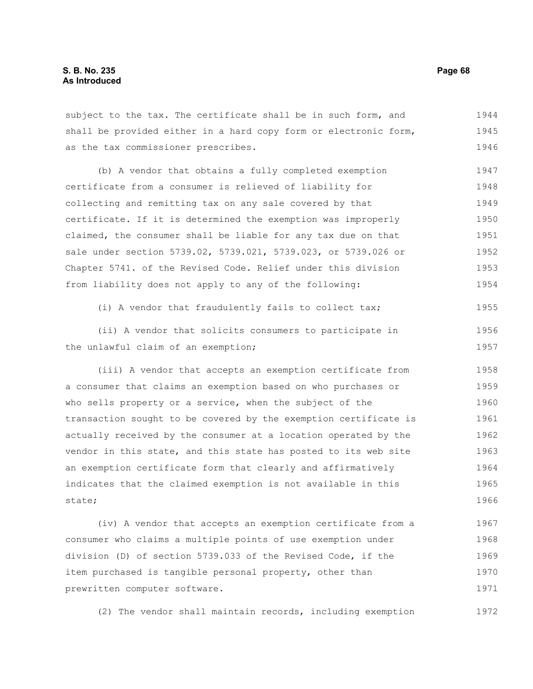subject to the tax. The certificate shall be in such form, and shall be provided either in a hard copy form or electronic form, as the tax commissioner prescribes. 1944 1945 1946

(b) A vendor that obtains a fully completed exemption certificate from a consumer is relieved of liability for collecting and remitting tax on any sale covered by that certificate. If it is determined the exemption was improperly claimed, the consumer shall be liable for any tax due on that sale under section 5739.02, 5739.021, 5739.023, or 5739.026 or Chapter 5741. of the Revised Code. Relief under this division from liability does not apply to any of the following: 1947 1948 1949 1950 1951 1952 1953 1954

(i) A vendor that fraudulently fails to collect tax; 1955

(ii) A vendor that solicits consumers to participate in the unlawful claim of an exemption; 1956 1957

(iii) A vendor that accepts an exemption certificate from a consumer that claims an exemption based on who purchases or who sells property or a service, when the subject of the transaction sought to be covered by the exemption certificate is actually received by the consumer at a location operated by the vendor in this state, and this state has posted to its web site an exemption certificate form that clearly and affirmatively indicates that the claimed exemption is not available in this state; 1958 1959 1960 1961 1962 1963 1964 1965 1966

(iv) A vendor that accepts an exemption certificate from a consumer who claims a multiple points of use exemption under division (D) of section 5739.033 of the Revised Code, if the item purchased is tangible personal property, other than prewritten computer software. 1967 1968 1969 1970 1971

(2) The vendor shall maintain records, including exemption 1972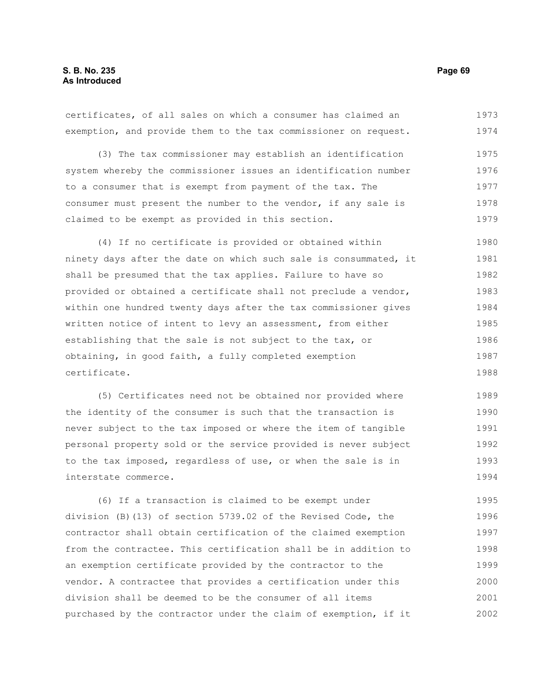| exemption, and provide them to the tax commissioner on request.  | 1974 |
|------------------------------------------------------------------|------|
| (3) The tax commissioner may establish an identification         | 1975 |
| system whereby the commissioner issues an identification number  | 1976 |
| to a consumer that is exempt from payment of the tax. The        | 1977 |
| consumer must present the number to the vendor, if any sale is   | 1978 |
| claimed to be exempt as provided in this section.                | 1979 |
| (4) If no certificate is provided or obtained within             | 1980 |
| ninety days after the date on which such sale is consummated, it | 1981 |
| shall be presumed that the tax applies. Failure to have so       | 1982 |
| provided or obtained a certificate shall not preclude a vendor,  | 1983 |
| within one hundred twenty days after the tax commissioner gives  | 1984 |
| written notice of intent to levy an assessment, from either      | 1985 |
| establishing that the sale is not subject to the tax, or         | 1986 |
| obtaining, in good faith, a fully completed exemption            | 1987 |
| certificate.                                                     | 1988 |

certificates, of all sales on which a consumer has claimed an

(5) Certificates need not be obtained nor provided where the identity of the consumer is such that the transaction is never subject to the tax imposed or where the item of tangible personal property sold or the service provided is never subject to the tax imposed, regardless of use, or when the sale is in interstate commerce. 1989 1990 1991 1992 1993 1994

(6) If a transaction is claimed to be exempt under division (B)(13) of section 5739.02 of the Revised Code, the contractor shall obtain certification of the claimed exemption from the contractee. This certification shall be in addition to an exemption certificate provided by the contractor to the vendor. A contractee that provides a certification under this division shall be deemed to be the consumer of all items purchased by the contractor under the claim of exemption, if it 1995 1996 1997 1998 1999 2000 2001 2002

1973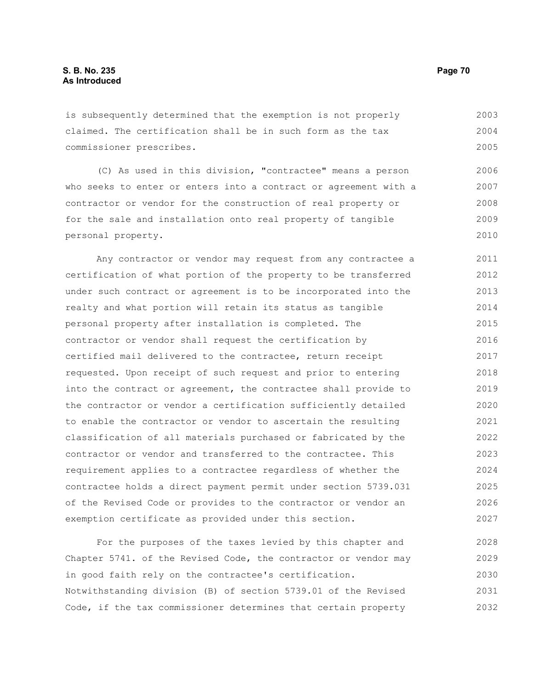is subsequently determined that the exemption is not properly claimed. The certification shall be in such form as the tax commissioner prescribes. 2003 2004 2005

(C) As used in this division, "contractee" means a person who seeks to enter or enters into a contract or agreement with a contractor or vendor for the construction of real property or for the sale and installation onto real property of tangible personal property. 2006 2007 2008 2009 2010

Any contractor or vendor may request from any contractee a certification of what portion of the property to be transferred under such contract or agreement is to be incorporated into the realty and what portion will retain its status as tangible personal property after installation is completed. The contractor or vendor shall request the certification by certified mail delivered to the contractee, return receipt requested. Upon receipt of such request and prior to entering into the contract or agreement, the contractee shall provide to the contractor or vendor a certification sufficiently detailed to enable the contractor or vendor to ascertain the resulting classification of all materials purchased or fabricated by the contractor or vendor and transferred to the contractee. This requirement applies to a contractee regardless of whether the contractee holds a direct payment permit under section 5739.031 of the Revised Code or provides to the contractor or vendor an exemption certificate as provided under this section. 2011 2012 2013 2014 2015 2016 2017 2018 2019 2020 2021 2022 2023 2024 2025 2026 2027

For the purposes of the taxes levied by this chapter and Chapter 5741. of the Revised Code, the contractor or vendor may in good faith rely on the contractee's certification. Notwithstanding division (B) of section 5739.01 of the Revised Code, if the tax commissioner determines that certain property 2028 2029 2030 2031 2032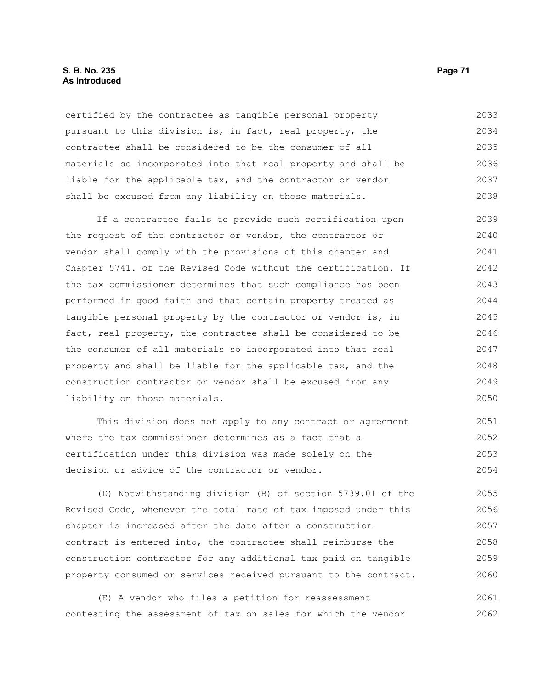### **S. B. No. 235 Page 71 As Introduced**

certified by the contractee as tangible personal property pursuant to this division is, in fact, real property, the contractee shall be considered to be the consumer of all materials so incorporated into that real property and shall be liable for the applicable tax, and the contractor or vendor shall be excused from any liability on those materials. 2033 2034 2035 2036 2037 2038

If a contractee fails to provide such certification upon the request of the contractor or vendor, the contractor or vendor shall comply with the provisions of this chapter and Chapter 5741. of the Revised Code without the certification. If the tax commissioner determines that such compliance has been performed in good faith and that certain property treated as tangible personal property by the contractor or vendor is, in fact, real property, the contractee shall be considered to be the consumer of all materials so incorporated into that real property and shall be liable for the applicable tax, and the construction contractor or vendor shall be excused from any liability on those materials. 2039 2040 2041 2042 2043 2044 2045 2046 2047 2048 2049 2050

This division does not apply to any contract or agreement where the tax commissioner determines as a fact that a certification under this division was made solely on the decision or advice of the contractor or vendor. 2051 2052 2053 2054

(D) Notwithstanding division (B) of section 5739.01 of the Revised Code, whenever the total rate of tax imposed under this chapter is increased after the date after a construction contract is entered into, the contractee shall reimburse the construction contractor for any additional tax paid on tangible property consumed or services received pursuant to the contract. 2055 2056 2057 2058 2059 2060

(E) A vendor who files a petition for reassessment contesting the assessment of tax on sales for which the vendor 2061 2062